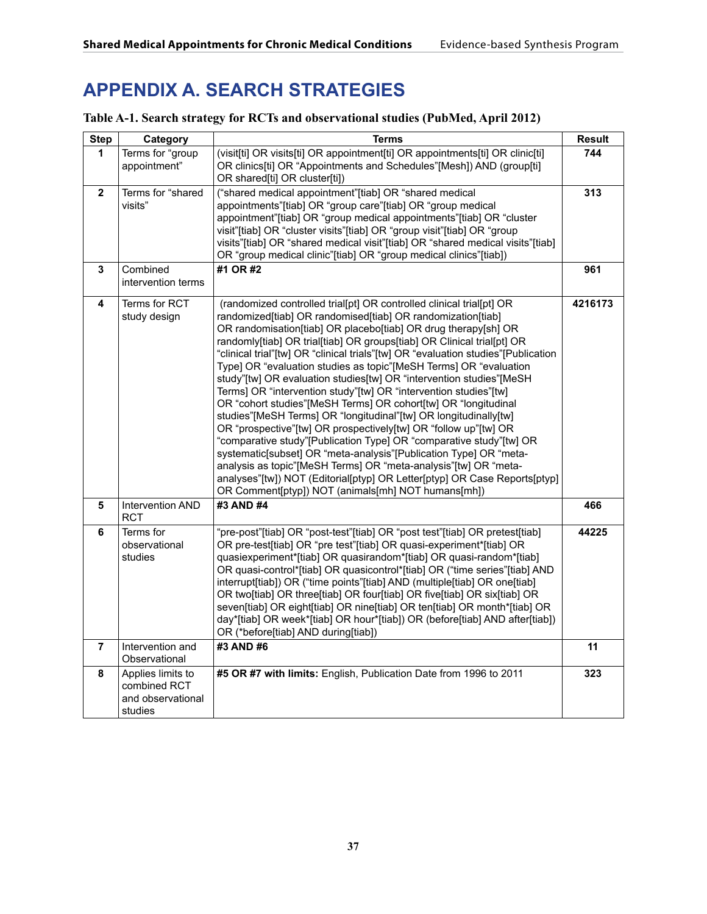# **APPENDIX A. SEARCH STRATEGIES**

## **Table A-1. Search strategy for RCTs and observational studies (PubMed, April 2012)**

| <b>Step</b>    | Category                                                          | <b>Terms</b>                                                                                                                                                                                                                                                                                                                                                                                                                                                                                                                                                                                                                                                                                                                                                                                                                                                                                                                                                                                                                                                                                                                                    | Result  |
|----------------|-------------------------------------------------------------------|-------------------------------------------------------------------------------------------------------------------------------------------------------------------------------------------------------------------------------------------------------------------------------------------------------------------------------------------------------------------------------------------------------------------------------------------------------------------------------------------------------------------------------------------------------------------------------------------------------------------------------------------------------------------------------------------------------------------------------------------------------------------------------------------------------------------------------------------------------------------------------------------------------------------------------------------------------------------------------------------------------------------------------------------------------------------------------------------------------------------------------------------------|---------|
| 1              | Terms for "group<br>appointment"                                  | (visit[ti] OR visits[ti] OR appointment[ti] OR appointments[ti] OR clinic[ti]<br>OR clinics[ti] OR "Appointments and Schedules"[Mesh]) AND (group[ti]<br>OR shared[ti] OR cluster[ti])                                                                                                                                                                                                                                                                                                                                                                                                                                                                                                                                                                                                                                                                                                                                                                                                                                                                                                                                                          | 744     |
| $\mathbf{2}$   | Terms for "shared<br>visits"                                      | ("shared medical appointment"[tiab] OR "shared medical<br>appointments"[tiab] OR "group care"[tiab] OR "group medical<br>appointment"[tiab] OR "group medical appointments"[tiab] OR "cluster<br>visit"[tiab] OR "cluster visits"[tiab] OR "group visit"[tiab] OR "group<br>visits"[tiab] OR "shared medical visit"[tiab] OR "shared medical visits"[tiab]<br>OR "group medical clinic"[tiab] OR "group medical clinics"[tiab])                                                                                                                                                                                                                                                                                                                                                                                                                                                                                                                                                                                                                                                                                                                 | 313     |
| 3              | Combined<br>intervention terms                                    | #1 OR #2                                                                                                                                                                                                                                                                                                                                                                                                                                                                                                                                                                                                                                                                                                                                                                                                                                                                                                                                                                                                                                                                                                                                        | 961     |
| 4              | Terms for RCT<br>study design                                     | (randomized controlled trial[pt] OR controlled clinical trial[pt] OR<br>randomized[tiab] OR randomised[tiab] OR randomization[tiab]<br>OR randomisation[tiab] OR placebo[tiab] OR drug therapy[sh] OR<br>randomly[tiab] OR trial[tiab] OR groups[tiab] OR Clinical trial[pt] OR<br>"clinical trial"[tw] OR "clinical trials"[tw] OR "evaluation studies"[Publication<br>Type] OR "evaluation studies as topic"[MeSH Terms] OR "evaluation<br>study"[tw] OR evaluation studies[tw] OR "intervention studies"[MeSH<br>Terms] OR "intervention study"[tw] OR "intervention studies"[tw]<br>OR "cohort studies"[MeSH Terms] OR cohort[tw] OR "longitudinal<br>studies"[MeSH Terms] OR "longitudinal"[tw] OR longitudinally[tw]<br>OR "prospective"[tw] OR prospectively[tw] OR "follow up"[tw] OR<br>"comparative study"[Publication Type] OR "comparative study"[tw] OR<br>systematic[subset] OR "meta-analysis"[Publication Type] OR "meta-<br>analysis as topic"[MeSH Terms] OR "meta-analysis"[tw] OR "meta-<br>analyses"[tw]) NOT (Editorial[ptyp] OR Letter[ptyp] OR Case Reports[ptyp]<br>OR Comment[ptyp]) NOT (animals[mh] NOT humans[mh]) | 4216173 |
| 5              | Intervention AND<br>RCT                                           | #3 AND #4                                                                                                                                                                                                                                                                                                                                                                                                                                                                                                                                                                                                                                                                                                                                                                                                                                                                                                                                                                                                                                                                                                                                       | 466     |
| 6              | Terms for<br>observational<br>studies                             | "pre-post"[tiab] OR "post-test"[tiab] OR "post test"[tiab] OR pretest[tiab]<br>OR pre-test[tiab] OR "pre test"[tiab] OR quasi-experiment*[tiab] OR<br>quasiexperiment*[tiab] OR quasirandom*[tiab] OR quasi-random*[tiab]<br>OR quasi-control*[tiab] OR quasicontrol*[tiab] OR ("time series"[tiab] AND<br>interrupt[tiab]) OR ("time points"[tiab] AND (multiple[tiab] OR one[tiab]<br>OR two[tiab] OR three[tiab] OR four[tiab] OR five[tiab] OR six[tiab] OR<br>seven[tiab] OR eight[tiab] OR nine[tiab] OR ten[tiab] OR month*[tiab] OR<br>day*[tiab] OR week*[tiab] OR hour*[tiab]) OR (before[tiab] AND after[tiab])<br>OR (*before[tiab] AND during[tiab])                                                                                                                                                                                                                                                                                                                                                                                                                                                                               | 44225   |
| $\overline{7}$ | Intervention and<br>Observational                                 | #3 AND #6                                                                                                                                                                                                                                                                                                                                                                                                                                                                                                                                                                                                                                                                                                                                                                                                                                                                                                                                                                                                                                                                                                                                       | 11      |
| 8              | Applies limits to<br>combined RCT<br>and observational<br>studies | #5 OR #7 with limits: English, Publication Date from 1996 to 2011                                                                                                                                                                                                                                                                                                                                                                                                                                                                                                                                                                                                                                                                                                                                                                                                                                                                                                                                                                                                                                                                               | 323     |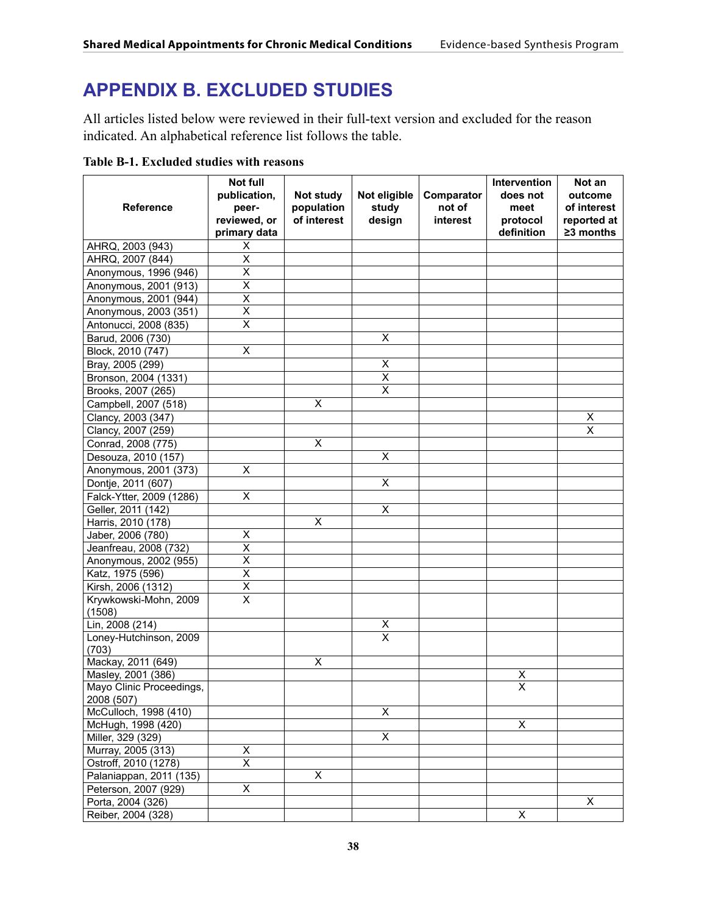# **APPENDIX B. EXCLUDED STUDIES**

All articles listed below were reviewed in their full-text version and excluded for the reason indicated. An alphabetical reference list follows the table.

| <b>Table B-1. Excluded studies with reasons</b> |  |  |
|-------------------------------------------------|--|--|
|-------------------------------------------------|--|--|

| <b>Reference</b>                           | Not full<br>publication,<br>peer- | Not study<br>population | Not eligible<br>study   | Comparator<br>not of | Intervention<br>does not<br>meet | Not an<br>outcome<br>of interest |
|--------------------------------------------|-----------------------------------|-------------------------|-------------------------|----------------------|----------------------------------|----------------------------------|
|                                            | reviewed, or<br>primary data      | of interest             | design                  | interest             | protocol<br>definition           | reported at<br>$\geq$ 3 months   |
| AHRQ, 2003 (943)                           | X                                 |                         |                         |                      |                                  |                                  |
| AHRQ, 2007 (844)                           | $\overline{\mathsf{x}}$           |                         |                         |                      |                                  |                                  |
| Anonymous, 1996 (946)                      | $\overline{\mathsf{x}}$           |                         |                         |                      |                                  |                                  |
| Anonymous, 2001 (913)                      | $\overline{\mathsf{x}}$           |                         |                         |                      |                                  |                                  |
| Anonymous, 2001 (944)                      | X                                 |                         |                         |                      |                                  |                                  |
| Anonymous, 2003 (351)                      | X                                 |                         |                         |                      |                                  |                                  |
| Antonucci, 2008 (835)                      | X                                 |                         |                         |                      |                                  |                                  |
| Barud, 2006 (730)                          |                                   |                         | X                       |                      |                                  |                                  |
| Block, 2010 (747)                          | $\overline{\mathsf{x}}$           |                         |                         |                      |                                  |                                  |
| Bray, 2005 (299)                           |                                   |                         | X                       |                      |                                  |                                  |
| Bronson, 2004 (1331)                       |                                   |                         | $\overline{\mathsf{x}}$ |                      |                                  |                                  |
| Brooks, 2007 (265)                         |                                   |                         | $\overline{\mathsf{x}}$ |                      |                                  |                                  |
| Campbell, 2007 (518)                       |                                   | X                       |                         |                      |                                  |                                  |
| Clancy, 2003 (347)                         |                                   |                         |                         |                      |                                  | X                                |
| Clancy, 2007 (259)                         |                                   |                         |                         |                      |                                  | X                                |
| Conrad, 2008 (775)                         |                                   | $\overline{X}$          |                         |                      |                                  |                                  |
| Desouza, 2010 (157)                        |                                   |                         | X                       |                      |                                  |                                  |
| Anonymous, 2001 (373)                      | X                                 |                         |                         |                      |                                  |                                  |
| Dontje, 2011 (607)                         |                                   |                         | X                       |                      |                                  |                                  |
| Falck-Ytter, 2009 (1286)                   | $\overline{\mathsf{x}}$           |                         |                         |                      |                                  |                                  |
| Geller, 2011 (142)                         |                                   |                         | X                       |                      |                                  |                                  |
| Harris, 2010 (178)                         |                                   | X                       |                         |                      |                                  |                                  |
| Jaber, 2006 (780)                          | X                                 |                         |                         |                      |                                  |                                  |
| Jeanfreau, 2008 (732)                      | $\overline{\mathsf{x}}$           |                         |                         |                      |                                  |                                  |
| Anonymous, 2002 (955)                      | X                                 |                         |                         |                      |                                  |                                  |
| Katz, 1975 (596)                           | X                                 |                         |                         |                      |                                  |                                  |
| Kirsh, 2006 (1312)                         | Χ                                 |                         |                         |                      |                                  |                                  |
| Krywkowski-Mohn, 2009                      | $\overline{\mathsf{x}}$           |                         |                         |                      |                                  |                                  |
| (1508)                                     |                                   |                         |                         |                      |                                  |                                  |
| Lin, 2008 (214)                            |                                   |                         | X                       |                      |                                  |                                  |
| Loney-Hutchinson, 2009                     |                                   |                         | $\overline{\mathsf{x}}$ |                      |                                  |                                  |
| (703)                                      |                                   |                         |                         |                      |                                  |                                  |
| Mackay, 2011 (649)                         |                                   | $\overline{\mathsf{x}}$ |                         |                      |                                  |                                  |
| Masley, 2001 (386)                         |                                   |                         |                         |                      | Χ                                |                                  |
| Mayo Clinic Proceedings,                   |                                   |                         |                         |                      | $\overline{\mathsf{x}}$          |                                  |
| 2008 (507)                                 |                                   |                         |                         |                      |                                  |                                  |
| McCulloch, 1998 (410)                      |                                   |                         | X                       |                      |                                  |                                  |
| McHugh, 1998 (420)                         |                                   |                         | $\overline{X}$          |                      | X                                |                                  |
| Miller, 329 (329)                          | X                                 |                         |                         |                      |                                  |                                  |
| Murray, 2005 (313)<br>Ostroff, 2010 (1278) | $\overline{\mathsf{x}}$           |                         |                         |                      |                                  |                                  |
| Palaniappan, 2011 (135)                    |                                   | X                       |                         |                      |                                  |                                  |
| Peterson, 2007 (929)                       | $\overline{X}$                    |                         |                         |                      |                                  |                                  |
| Porta, 2004 (326)                          |                                   |                         |                         |                      |                                  | X                                |
| Reiber, 2004 (328)                         |                                   |                         |                         |                      | X                                |                                  |
|                                            |                                   |                         |                         |                      |                                  |                                  |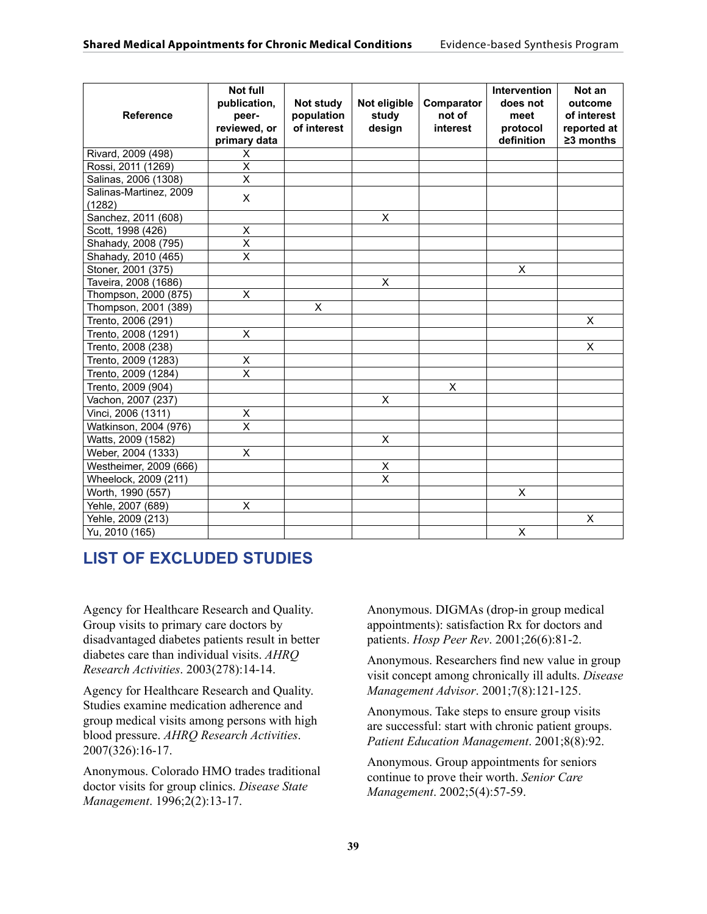| <b>Reference</b>                 | <b>Not full</b><br>publication,<br>peer-<br>reviewed, or<br>primary data | Not study<br>population<br>of interest | Not eligible<br>study<br>design | Comparator<br>not of<br>interest | <b>Intervention</b><br>does not<br>meet<br>protocol<br>definition | Not an<br>outcome<br>of interest<br>reported at<br>$\geq$ 3 months |
|----------------------------------|--------------------------------------------------------------------------|----------------------------------------|---------------------------------|----------------------------------|-------------------------------------------------------------------|--------------------------------------------------------------------|
| Rivard, 2009 (498)               | X                                                                        |                                        |                                 |                                  |                                                                   |                                                                    |
| Rossi, 2011 (1269)               | $\overline{\mathsf{x}}$                                                  |                                        |                                 |                                  |                                                                   |                                                                    |
| Salinas, 2006 (1308)             | $\overline{x}$                                                           |                                        |                                 |                                  |                                                                   |                                                                    |
| Salinas-Martinez, 2009<br>(1282) | $\pmb{\times}$                                                           |                                        |                                 |                                  |                                                                   |                                                                    |
| Sanchez, 2011 (608)              |                                                                          |                                        | X                               |                                  |                                                                   |                                                                    |
| Scott, 1998 (426)                | Χ                                                                        |                                        |                                 |                                  |                                                                   |                                                                    |
| Shahady, 2008 (795)              | $\overline{\mathsf{x}}$                                                  |                                        |                                 |                                  |                                                                   |                                                                    |
| Shahady, 2010 (465)              | X                                                                        |                                        |                                 |                                  |                                                                   |                                                                    |
| Stoner, 2001 (375)               |                                                                          |                                        |                                 |                                  | $\overline{\mathsf{x}}$                                           |                                                                    |
| Taveira, 2008 (1686)             |                                                                          |                                        | X                               |                                  |                                                                   |                                                                    |
| Thompson, 2000 (875)             | X                                                                        |                                        |                                 |                                  |                                                                   |                                                                    |
| Thompson, 2001 (389)             |                                                                          | X                                      |                                 |                                  |                                                                   |                                                                    |
| Trento, 2006 (291)               |                                                                          |                                        |                                 |                                  |                                                                   | X                                                                  |
| Trento, 2008 (1291)              | $\overline{\mathsf{x}}$                                                  |                                        |                                 |                                  |                                                                   |                                                                    |
| Trento, 2008 (238)               |                                                                          |                                        |                                 |                                  |                                                                   | X                                                                  |
| Trento, 2009 (1283)              | X                                                                        |                                        |                                 |                                  |                                                                   |                                                                    |
| Trento, 2009 (1284)              | $\overline{\mathsf{x}}$                                                  |                                        |                                 |                                  |                                                                   |                                                                    |
| Trento, 2009 (904)               |                                                                          |                                        |                                 | X                                |                                                                   |                                                                    |
| Vachon, 2007 (237)               |                                                                          |                                        | X                               |                                  |                                                                   |                                                                    |
| Vinci, 2006 (1311)               | Χ                                                                        |                                        |                                 |                                  |                                                                   |                                                                    |
| Watkinson, 2004 (976)            | $\overline{\mathsf{x}}$                                                  |                                        |                                 |                                  |                                                                   |                                                                    |
| Watts, 2009 (1582)               |                                                                          |                                        | X                               |                                  |                                                                   |                                                                    |
| Weber, 2004 (1333)               | X                                                                        |                                        |                                 |                                  |                                                                   |                                                                    |
| Westheimer, 2009 (666)           |                                                                          |                                        | $\mathsf X$                     |                                  |                                                                   |                                                                    |
| Wheelock, 2009 (211)             |                                                                          |                                        | $\overline{\mathsf{x}}$         |                                  |                                                                   |                                                                    |
| Worth, 1990 (557)                |                                                                          |                                        |                                 |                                  | X                                                                 |                                                                    |
| Yehle, 2007 (689)                | X                                                                        |                                        |                                 |                                  |                                                                   |                                                                    |
| Yehle, 2009 (213)                |                                                                          |                                        |                                 |                                  |                                                                   | X                                                                  |
| Yu, 2010 (165)                   |                                                                          |                                        |                                 |                                  | X                                                                 |                                                                    |

# **LIST OF EXCLUDED STUDIES**

Agency for Healthcare Research and Quality. Group visits to primary care doctors by disadvantaged diabetes patients result in better diabetes care than individual visits. *AHRQ Research Activities*. 2003(278):14-14.

Agency for Healthcare Research and Quality. Studies examine medication adherence and group medical visits among persons with high blood pressure. *AHRQ Research Activities*. 2007(326):16-17.

Anonymous. Colorado HMO trades traditional doctor visits for group clinics. *Disease State Management*. 1996;2(2):13-17.

Anonymous. DIGMAs (drop-in group medical appointments): satisfaction Rx for doctors and patients. *Hosp Peer Rev*. 2001;26(6):81-2.

Anonymous. Researchers find new value in group visit concept among chronically ill adults. *Disease Management Advisor*. 2001;7(8):121-125.

Anonymous. Take steps to ensure group visits are successful: start with chronic patient groups. *Patient Education Management*. 2001;8(8):92.

Anonymous. Group appointments for seniors continue to prove their worth. *Senior Care Management*. 2002;5(4):57-59.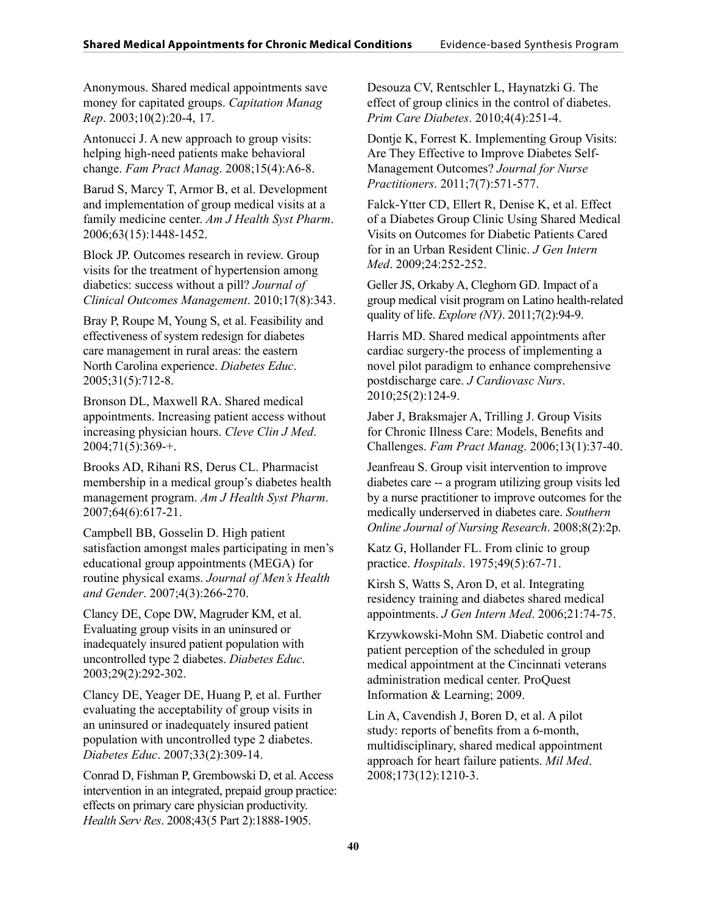Anonymous. Shared medical appointments save money for capitated groups. *Capitation Manag Rep*. 2003;10(2):20-4, 17.

Antonucci J. A new approach to group visits: helping high-need patients make behavioral change. *Fam Pract Manag*. 2008;15(4):A6-8.

Barud S, Marcy T, Armor B, et al. Development and implementation of group medical visits at a family medicine center. *Am J Health Syst Pharm*. 2006;63(15):1448-1452.

Block JP. Outcomes research in review. Group visits for the treatment of hypertension among diabetics: success without a pill? *Journal of Clinical Outcomes Management*. 2010;17(8):343.

Bray P, Roupe M, Young S, et al. Feasibility and effectiveness of system redesign for diabetes care management in rural areas: the eastern North Carolina experience. *Diabetes Educ*. 2005;31(5):712-8.

Bronson DL, Maxwell RA. Shared medical appointments. Increasing patient access without increasing physician hours. *Cleve Clin J Med*.  $2004;71(5):369-+$ .

Brooks AD, Rihani RS, Derus CL. Pharmacist membership in a medical group's diabetes health management program. *Am J Health Syst Pharm*. 2007;64(6):617-21.

Campbell BB, Gosselin D. High patient satisfaction amongst males participating in men's educational group appointments (MEGA) for routine physical exams. *Journal of Men's Health and Gender*. 2007;4(3):266-270.

Clancy DE, Cope DW, Magruder KM, et al. Evaluating group visits in an uninsured or inadequately insured patient population with uncontrolled type 2 diabetes. *Diabetes Educ*. 2003;29(2):292-302.

Clancy DE, Yeager DE, Huang P, et al. Further evaluating the acceptability of group visits in an uninsured or inadequately insured patient population with uncontrolled type 2 diabetes. *Diabetes Educ*. 2007;33(2):309-14.

Conrad D, Fishman P, Grembowski D, et al. Access intervention in an integrated, prepaid group practice: effects on primary care physician productivity. *Health Serv Res*. 2008;43(5 Part 2):1888-1905.

Desouza CV, Rentschler L, Haynatzki G. The effect of group clinics in the control of diabetes. *Prim Care Diabetes*. 2010;4(4):251-4.

Dontje K, Forrest K. Implementing Group Visits: Are They Effective to Improve Diabetes Self-Management Outcomes? *Journal for Nurse Practitioners*. 2011;7(7):571-577.

Falck-Ytter CD, Ellert R, Denise K, et al. Effect of a Diabetes Group Clinic Using Shared Medical Visits on Outcomes for Diabetic Patients Cared for in an Urban Resident Clinic. *J Gen Intern Med*. 2009;24:252-252.

Geller JS, Orkaby A, Cleghorn GD. Impact of a group medical visit program on Latino health-related quality of life. *Explore (NY)*. 2011;7(2):94-9.

Harris MD. Shared medical appointments after cardiac surgery-the process of implementing a novel pilot paradigm to enhance comprehensive postdischarge care. *J Cardiovasc Nurs*. 2010;25(2):124-9.

Jaber J, Braksmajer A, Trilling J. Group Visits for Chronic Illness Care: Models, Benefits and Challenges. *Fam Pract Manag*. 2006;13(1):37-40.

Jeanfreau S. Group visit intervention to improve diabetes care -- a program utilizing group visits led by a nurse practitioner to improve outcomes for the medically underserved in diabetes care. *Southern Online Journal of Nursing Research*. 2008;8(2):2p.

Katz G, Hollander FL. From clinic to group practice. *Hospitals*. 1975;49(5):67-71.

Kirsh S, Watts S, Aron D, et al. Integrating residency training and diabetes shared medical appointments. *J Gen Intern Med*. 2006;21:74-75.

Krzywkowski-Mohn SM. Diabetic control and patient perception of the scheduled in group medical appointment at the Cincinnati veterans administration medical center. ProQuest Information & Learning; 2009.

Lin A, Cavendish J, Boren D, et al. A pilot study: reports of benefits from a 6-month, multidisciplinary, shared medical appointment approach for heart failure patients. *Mil Med*. 2008;173(12):1210-3.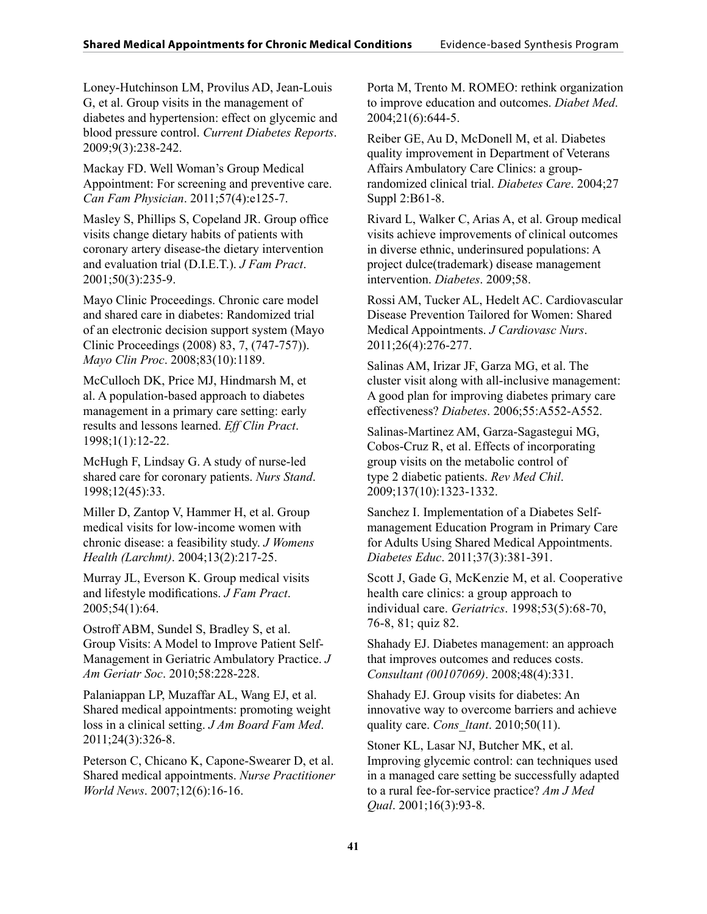Loney-Hutchinson LM, Provilus AD, Jean-Louis G, et al. Group visits in the management of diabetes and hypertension: effect on glycemic and blood pressure control. *Current Diabetes Reports*. 2009;9(3):238-242.

Mackay FD. Well Woman's Group Medical Appointment: For screening and preventive care. *Can Fam Physician*. 2011;57(4):e125-7.

Masley S, Phillips S, Copeland JR. Group office visits change dietary habits of patients with coronary artery disease-the dietary intervention and evaluation trial (D.I.E.T.). *J Fam Pract*. 2001;50(3):235-9.

Mayo Clinic Proceedings. Chronic care model and shared care in diabetes: Randomized trial of an electronic decision support system (Mayo Clinic Proceedings (2008) 83, 7, (747-757)). *Mayo Clin Proc*. 2008;83(10):1189.

McCulloch DK, Price MJ, Hindmarsh M, et al. A population-based approach to diabetes management in a primary care setting: early results and lessons learned. *Eff Clin Pract*. 1998;1(1):12-22.

McHugh F, Lindsay G. A study of nurse-led shared care for coronary patients. *Nurs Stand*. 1998;12(45):33.

Miller D, Zantop V, Hammer H, et al. Group medical visits for low-income women with chronic disease: a feasibility study. *J Womens Health (Larchmt)*. 2004;13(2):217-25.

Murray JL, Everson K. Group medical visits and lifestyle modifications. *J Fam Pract*. 2005;54(1):64.

Ostroff ABM, Sundel S, Bradley S, et al. Group Visits: A Model to Improve Patient Self-Management in Geriatric Ambulatory Practice. *J Am Geriatr Soc*. 2010;58:228-228.

Palaniappan LP, Muzaffar AL, Wang EJ, et al. Shared medical appointments: promoting weight loss in a clinical setting. *J Am Board Fam Med*. 2011;24(3):326-8.

Peterson C, Chicano K, Capone-Swearer D, et al. Shared medical appointments. *Nurse Practitioner World News*. 2007;12(6):16-16.

Porta M, Trento M. ROMEO: rethink organization to improve education and outcomes. *Diabet Med*. 2004;21(6):644-5.

Reiber GE, Au D, McDonell M, et al. Diabetes quality improvement in Department of Veterans Affairs Ambulatory Care Clinics: a grouprandomized clinical trial. *Diabetes Care*. 2004;27 Suppl 2:B61-8.

Rivard L, Walker C, Arias A, et al. Group medical visits achieve improvements of clinical outcomes in diverse ethnic, underinsured populations: A project dulce(trademark) disease management intervention. *Diabetes*. 2009;58.

Rossi AM, Tucker AL, Hedelt AC. Cardiovascular Disease Prevention Tailored for Women: Shared Medical Appointments. *J Cardiovasc Nurs*. 2011;26(4):276-277.

Salinas AM, Irizar JF, Garza MG, et al. The cluster visit along with all-inclusive management: A good plan for improving diabetes primary care effectiveness? *Diabetes*. 2006;55:A552-A552.

Salinas-Martinez AM, Garza-Sagastegui MG, Cobos-Cruz R, et al. Effects of incorporating group visits on the metabolic control of type 2 diabetic patients. *Rev Med Chil*. 2009;137(10):1323-1332.

Sanchez I. Implementation of a Diabetes Selfmanagement Education Program in Primary Care for Adults Using Shared Medical Appointments. *Diabetes Educ*. 2011;37(3):381-391.

Scott J, Gade G, McKenzie M, et al. Cooperative health care clinics: a group approach to individual care. *Geriatrics*. 1998;53(5):68-70, 76-8, 81; quiz 82.

Shahady EJ. Diabetes management: an approach that improves outcomes and reduces costs. *Consultant (00107069)*. 2008;48(4):331.

Shahady EJ. Group visits for diabetes: An innovative way to overcome barriers and achieve quality care. *Cons\_ltant*. 2010;50(11).

Stoner KL, Lasar NJ, Butcher MK, et al. Improving glycemic control: can techniques used in a managed care setting be successfully adapted to a rural fee-for-service practice? *Am J Med Qual*. 2001;16(3):93-8.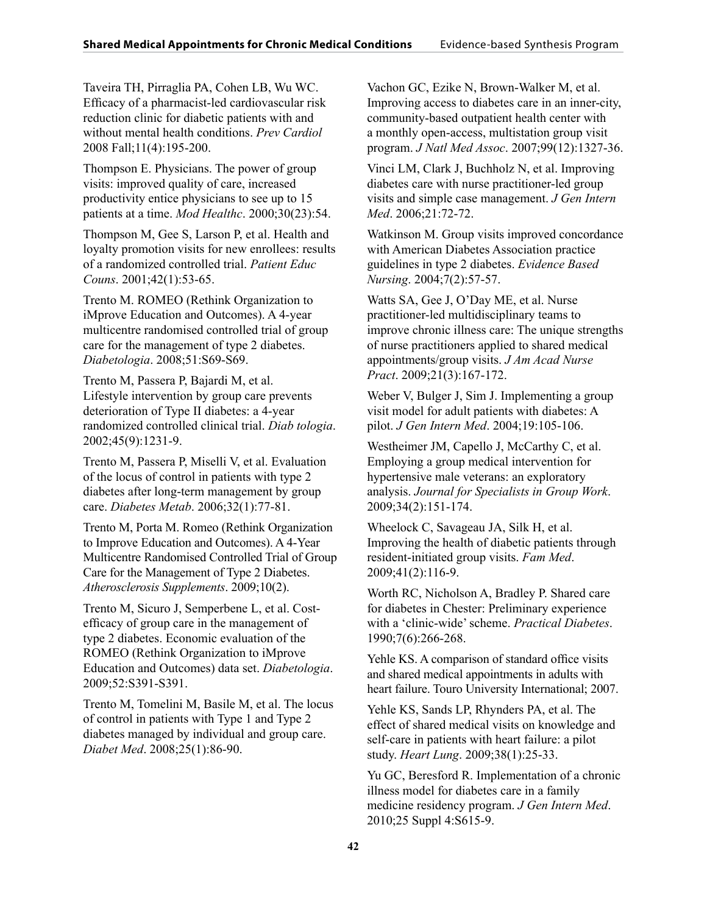Taveira TH, Pirraglia PA, Cohen LB, Wu WC. Efficacy of a pharmacist-led cardiovascular risk reduction clinic for diabetic patients with and without mental health conditions. *Prev Cardiol* 2008 Fall;11(4):195-200.

Thompson E. Physicians. The power of group visits: improved quality of care, increased productivity entice physicians to see up to 15 patients at a time. *Mod Healthc*. 2000;30(23):54.

Thompson M, Gee S, Larson P, et al. Health and loyalty promotion visits for new enrollees: results of a randomized controlled trial. *Patient Educ Couns*. 2001;42(1):53-65.

Trento M. ROMEO (Rethink Organization to iMprove Education and Outcomes). A 4-year multicentre randomised controlled trial of group care for the management of type 2 diabetes. *Diabetologia*. 2008;51:S69-S69.

Trento M, Passera P, Bajardi M, et al. Lifestyle intervention by group care prevents deterioration of Type II diabetes: a 4-year randomized controlled clinical trial. *Diab tologia*. 2002;45(9):1231-9.

Trento M, Passera P, Miselli V, et al. Evaluation of the locus of control in patients with type 2 diabetes after long-term management by group care. *Diabetes Metab*. 2006;32(1):77-81.

Trento M, Porta M. Romeo (Rethink Organization to Improve Education and Outcomes). A 4-Year Multicentre Randomised Controlled Trial of Group Care for the Management of Type 2 Diabetes. *Atherosclerosis Supplements*. 2009;10(2).

Trento M, Sicuro J, Semperbene L, et al. Costefficacy of group care in the management of type 2 diabetes. Economic evaluation of the ROMEO (Rethink Organization to iMprove Education and Outcomes) data set. *Diabetologia*. 2009;52:S391-S391.

Trento M, Tomelini M, Basile M, et al. The locus of control in patients with Type 1 and Type 2 diabetes managed by individual and group care. *Diabet Med*. 2008;25(1):86-90.

Vachon GC, Ezike N, Brown-Walker M, et al. Improving access to diabetes care in an inner-city, community-based outpatient health center with a monthly open-access, multistation group visit program. *J Natl Med Assoc*. 2007;99(12):1327-36.

Vinci LM, Clark J, Buchholz N, et al. Improving diabetes care with nurse practitioner-led group visits and simple case management. *J Gen Intern Med*. 2006;21:72-72.

Watkinson M. Group visits improved concordance with American Diabetes Association practice guidelines in type 2 diabetes. *Evidence Based Nursing*. 2004;7(2):57-57.

Watts SA, Gee J, O'Day ME, et al. Nurse practitioner-led multidisciplinary teams to improve chronic illness care: The unique strengths of nurse practitioners applied to shared medical appointments/group visits. *J Am Acad Nurse Pract*. 2009;21(3):167-172.

Weber V, Bulger J, Sim J. Implementing a group visit model for adult patients with diabetes: A pilot. *J Gen Intern Med*. 2004;19:105-106.

Westheimer JM, Capello J, McCarthy C, et al. Employing a group medical intervention for hypertensive male veterans: an exploratory analysis. *Journal for Specialists in Group Work*. 2009;34(2):151-174.

Wheelock C, Savageau JA, Silk H, et al. Improving the health of diabetic patients through resident-initiated group visits. *Fam Med*. 2009;41(2):116-9.

Worth RC, Nicholson A, Bradley P. Shared care for diabetes in Chester: Preliminary experience with a 'clinic-wide' scheme. *Practical Diabetes*. 1990;7(6):266-268.

Yehle KS. A comparison of standard office visits and shared medical appointments in adults with heart failure. Touro University International; 2007.

Yehle KS, Sands LP, Rhynders PA, et al. The effect of shared medical visits on knowledge and self-care in patients with heart failure: a pilot study. *Heart Lung*. 2009;38(1):25-33.

Yu GC, Beresford R. Implementation of a chronic illness model for diabetes care in a family medicine residency program. *J Gen Intern Med*. 2010;25 Suppl 4:S615-9.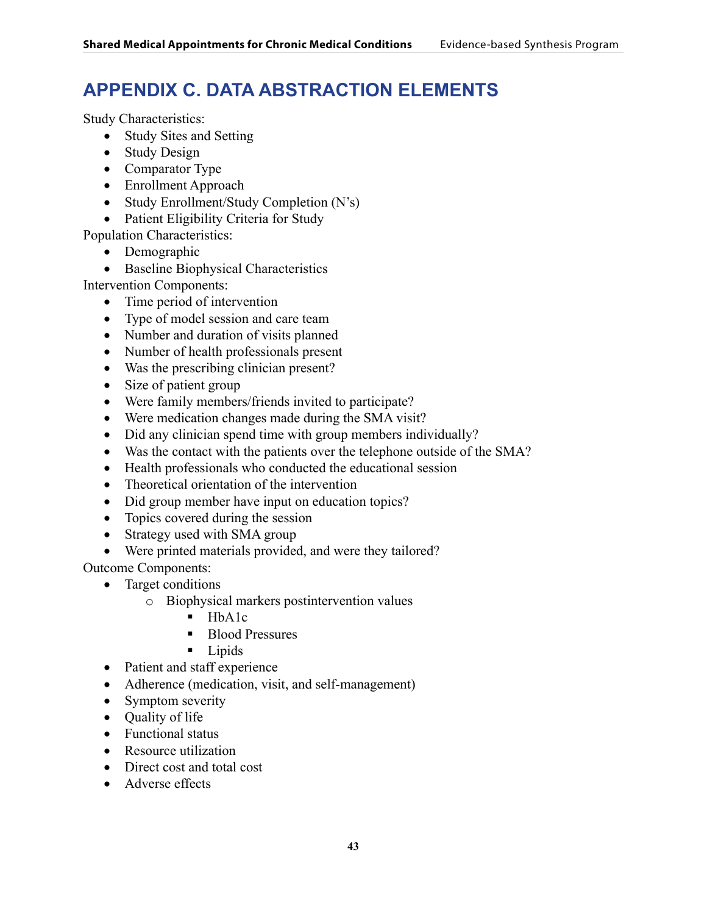# **APPENDIX C. DATA ABSTRACTION ELEMENTS**

Study Characteristics:

- Study Sites and Setting
- Study Design
- Comparator Type
- Enrollment Approach
- Study Enrollment/Study Completion (N's)
- Patient Eligibility Criteria for Study

Population Characteristics:

- Demographic
- • Baseline Biophysical Characteristics

Intervention Components:

- Time period of intervention
- Type of model session and care team
- Number and duration of visits planned
- • Number of health professionals present
- Was the prescribing clinician present?
- Size of patient group
- Were family members/friends invited to participate?
- Were medication changes made during the SMA visit?
- Did any clinician spend time with group members individually?
- Was the contact with the patients over the telephone outside of the SMA?
- Health professionals who conducted the educational session
- Theoretical orientation of the intervention
- Did group member have input on education topics?
- Topics covered during the session
- Strategy used with SMA group
- Were printed materials provided, and were they tailored?

Outcome Components:

- Target conditions
	- o Biophysical markers postintervention values
		- $-HbA1c$
		- Blood Pressures
		- **Lipids**
- Patient and staff experience
- Adherence (medication, visit, and self-management)
- Symptom severity
- Quality of life
- Functional status
- Resource utilization
- Direct cost and total cost
- Adverse effects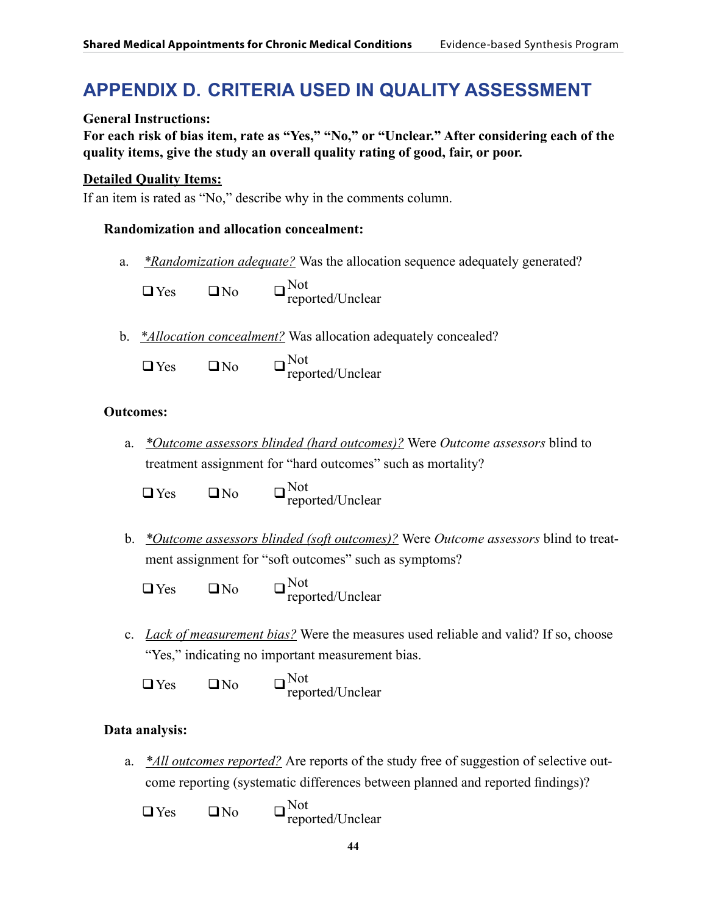# **APPENDIX D. CRITERIA USED IN QUALITY ASSESSMENT**

**General Instructions:**

**For each risk of bias item, rate as "Yes," "No," or "Unclear." After considering each of the quality items, give the study an overall quality rating of good, fair, or poor.**

## **Detailed Quality Items:**

If an item is rated as "No," describe why in the comments column.

## **Randomization and allocation concealment:**

a. *\*Randomization adequate?* Was the allocation sequence adequately generated?

 $\Box$  Yes  $\Box$  No  $\Box$  Not reported/Unclear

b. *\*Allocation concealment?* Was allocation adequately concealed?

 $\Box$  Yes  $\Box$  No  $\Box$  Not reported/Unclear

# **Outcomes:**

a. *\*Outcome assessors blinded (hard outcomes)?* Were *Outcome assessors* blind to treatment assignment for "hard outcomes" such as mortality?

 $\Box$  Yes  $\Box$  No  $\Box$  Not reported/Unclear

- b. *\*Outcome assessors blinded (soft outcomes)?* Were *Outcome assessors* blind to treatment assignment for "soft outcomes" such as symptoms?
	- $\Box$  Yes  $\Box$  No  $\Box$   $\Box$ <sup>Not</sup> reported/Unclear
- c. *Lack of measurement bias?* Were the measures used reliable and valid? If so, choose "Yes," indicating no important measurement bias.

 $\Box$  Yes  $\Box$  No  $\Box$  Not reported/Unclear

# **Data analysis:**

a. *\*All outcomes reported?* Are reports of the study free of suggestion of selective outcome reporting (systematic differences between planned and reported findings)?

 $\Box$  Yes  $\Box$  No  $\Box$  Not reported/Unclear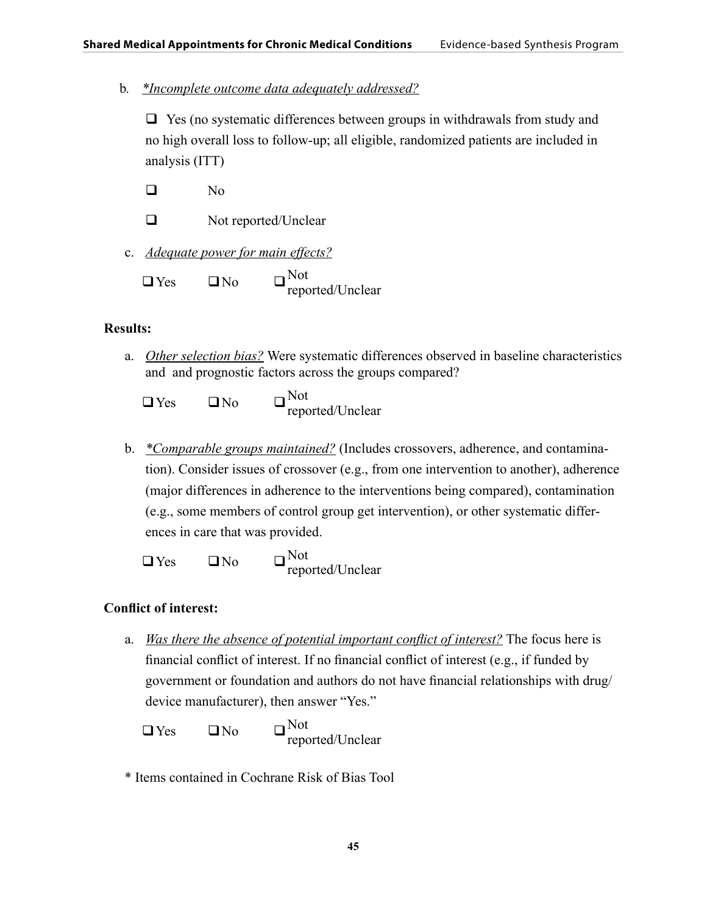b*. \*Incomplete outcome data adequately addressed?*

 $\Box$  Yes (no systematic differences between groups in withdrawals from study and no high overall loss to follow-up; all eligible, randomized patients are included in analysis (ITT)

 $\Box$  No

□ Not reported/Unclear

c. *Adequate power for main effects?*

 $\Box$  Yes  $\Box$  No  $\Box$  Not reported/Unclear

# **Results:**

a. *Other selection bias?* Were systematic differences observed in baseline characteristics and and prognostic factors across the groups compared?

 $\Box$  Yes  $\Box$  No  $\Box$  Not reported/Unclear

b. *\*Comparable groups maintained?* (Includes crossovers, adherence, and contamination). Consider issues of crossover (e.g., from one intervention to another), adherence (major differences in adherence to the interventions being compared), contamination (e.g., some members of control group get intervention), or other systematic differences in care that was provided.

 $\Box$  Yes  $\Box$  No  $\Box$  Not reported/Unclear

# **Conflict of interest:**

a. *Was there the absence of potential important conflict of interest?* The focus here is financial conflict of interest. If no financial conflict of interest (e.g., if funded by government or foundation and authors do not have financial relationships with drug/ device manufacturer), then answer "Yes."

 $\Box$  Yes  $\Box$  No  $\Box$  Not reported/Unclear

\* Items contained in Cochrane Risk of Bias Tool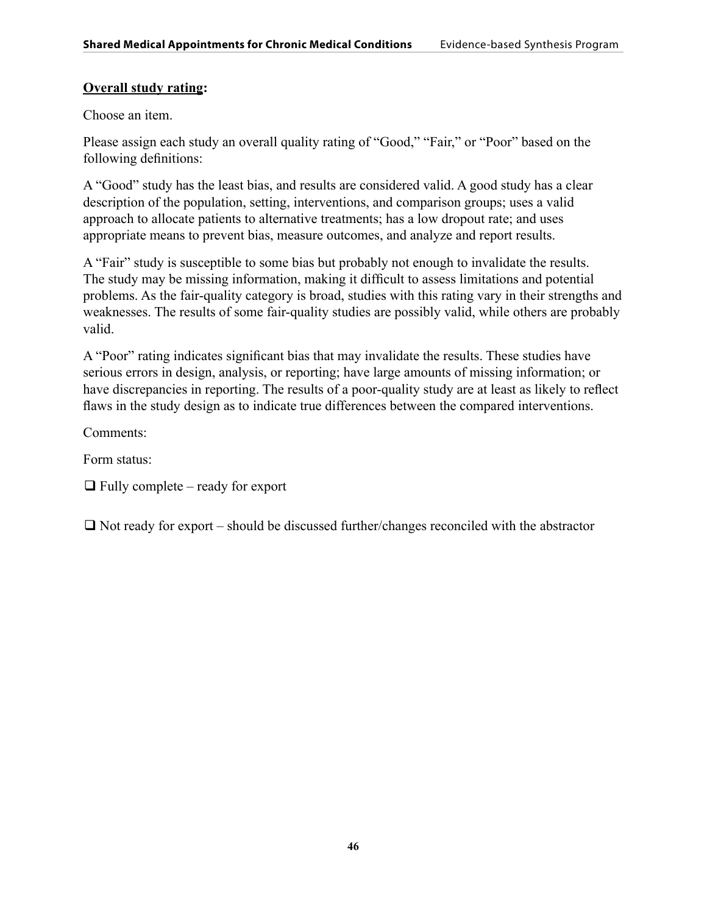## **Overall study rating:**

Choose an item.

Please assign each study an overall quality rating of "Good," "Fair," or "Poor" based on the following definitions:

A "Good" study has the least bias, and results are considered valid. A good study has a clear description of the population, setting, interventions, and comparison groups; uses a valid approach to allocate patients to alternative treatments; has a low dropout rate; and uses appropriate means to prevent bias, measure outcomes, and analyze and report results.

A "Fair" study is susceptible to some bias but probably not enough to invalidate the results. The study may be missing information, making it difficult to assess limitations and potential problems. As the fair-quality category is broad, studies with this rating vary in their strengths and weaknesses. The results of some fair-quality studies are possibly valid, while others are probably valid.

A "Poor" rating indicates significant bias that may invalidate the results. These studies have serious errors in design, analysis, or reporting; have large amounts of missing information; or have discrepancies in reporting. The results of a poor-quality study are at least as likely to reflect flaws in the study design as to indicate true differences between the compared interventions.

Comments:

Form status:

 $\Box$  Fully complete – ready for export

 $\Box$  Not ready for export – should be discussed further/changes reconciled with the abstractor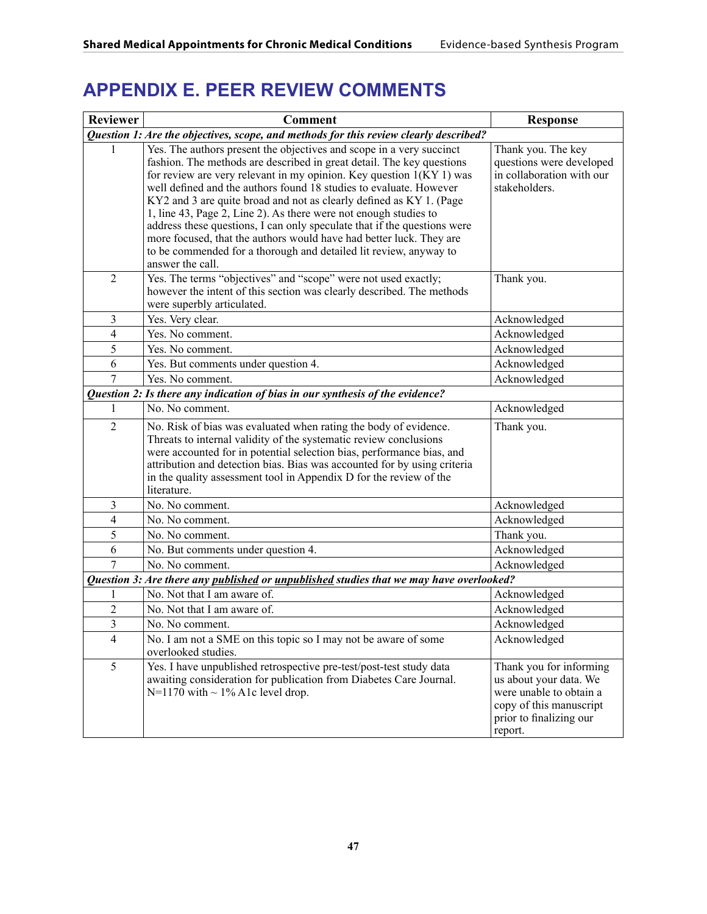# **APPENDIX E. PEER REVIEW COMMENTS**

| <b>Reviewer</b> | <b>Comment</b>                                                                                                                                                                                                                                                                                                                                                                                                                                                                                                                                                                                                                                                                      | <b>Response</b>                                                                                                                               |
|-----------------|-------------------------------------------------------------------------------------------------------------------------------------------------------------------------------------------------------------------------------------------------------------------------------------------------------------------------------------------------------------------------------------------------------------------------------------------------------------------------------------------------------------------------------------------------------------------------------------------------------------------------------------------------------------------------------------|-----------------------------------------------------------------------------------------------------------------------------------------------|
|                 | Question 1: Are the objectives, scope, and methods for this review clearly described?                                                                                                                                                                                                                                                                                                                                                                                                                                                                                                                                                                                               |                                                                                                                                               |
| 1               | Yes. The authors present the objectives and scope in a very succinct<br>fashion. The methods are described in great detail. The key questions<br>for review are very relevant in my opinion. Key question $1(KY1)$ was<br>well defined and the authors found 18 studies to evaluate. However<br>KY2 and 3 are quite broad and not as clearly defined as KY 1. (Page<br>1, line 43, Page 2, Line 2). As there were not enough studies to<br>address these questions, I can only speculate that if the questions were<br>more focused, that the authors would have had better luck. They are<br>to be commended for a thorough and detailed lit review, anyway to<br>answer the call. | Thank you. The key<br>questions were developed<br>in collaboration with our<br>stakeholders.                                                  |
| $\overline{2}$  | Yes. The terms "objectives" and "scope" were not used exactly;<br>however the intent of this section was clearly described. The methods<br>were superbly articulated.                                                                                                                                                                                                                                                                                                                                                                                                                                                                                                               | Thank you.                                                                                                                                    |
| $\mathfrak{Z}$  | Yes. Very clear.                                                                                                                                                                                                                                                                                                                                                                                                                                                                                                                                                                                                                                                                    | Acknowledged                                                                                                                                  |
| $\overline{4}$  | Yes. No comment.                                                                                                                                                                                                                                                                                                                                                                                                                                                                                                                                                                                                                                                                    | Acknowledged                                                                                                                                  |
| 5               | Yes. No comment.                                                                                                                                                                                                                                                                                                                                                                                                                                                                                                                                                                                                                                                                    | Acknowledged                                                                                                                                  |
| 6               | Yes. But comments under question 4.                                                                                                                                                                                                                                                                                                                                                                                                                                                                                                                                                                                                                                                 | Acknowledged                                                                                                                                  |
| 7               | Yes. No comment.                                                                                                                                                                                                                                                                                                                                                                                                                                                                                                                                                                                                                                                                    | Acknowledged                                                                                                                                  |
|                 | Question 2: Is there any indication of bias in our synthesis of the evidence?                                                                                                                                                                                                                                                                                                                                                                                                                                                                                                                                                                                                       |                                                                                                                                               |
| 1               | No. No comment.                                                                                                                                                                                                                                                                                                                                                                                                                                                                                                                                                                                                                                                                     | Acknowledged                                                                                                                                  |
| $\overline{2}$  | No. Risk of bias was evaluated when rating the body of evidence.<br>Threats to internal validity of the systematic review conclusions<br>were accounted for in potential selection bias, performance bias, and<br>attribution and detection bias. Bias was accounted for by using criteria<br>in the quality assessment tool in Appendix D for the review of the<br>literature.                                                                                                                                                                                                                                                                                                     | Thank you.                                                                                                                                    |
| 3               | No. No comment.                                                                                                                                                                                                                                                                                                                                                                                                                                                                                                                                                                                                                                                                     | Acknowledged                                                                                                                                  |
| $\overline{4}$  | No. No comment.                                                                                                                                                                                                                                                                                                                                                                                                                                                                                                                                                                                                                                                                     | Acknowledged                                                                                                                                  |
| 5               | No. No comment.                                                                                                                                                                                                                                                                                                                                                                                                                                                                                                                                                                                                                                                                     | Thank you.                                                                                                                                    |
| 6               | No. But comments under question 4.                                                                                                                                                                                                                                                                                                                                                                                                                                                                                                                                                                                                                                                  | Acknowledged                                                                                                                                  |
| 7               | No. No comment.                                                                                                                                                                                                                                                                                                                                                                                                                                                                                                                                                                                                                                                                     | Acknowledged                                                                                                                                  |
|                 | Question 3: Are there any published or unpublished studies that we may have overlooked?                                                                                                                                                                                                                                                                                                                                                                                                                                                                                                                                                                                             |                                                                                                                                               |
| 1               | No. Not that I am aware of.                                                                                                                                                                                                                                                                                                                                                                                                                                                                                                                                                                                                                                                         | Acknowledged                                                                                                                                  |
| $\overline{c}$  | No. Not that I am aware of.                                                                                                                                                                                                                                                                                                                                                                                                                                                                                                                                                                                                                                                         | Acknowledged                                                                                                                                  |
| $\overline{3}$  | No. No comment.                                                                                                                                                                                                                                                                                                                                                                                                                                                                                                                                                                                                                                                                     | Acknowledged                                                                                                                                  |
| $\overline{4}$  | No. I am not a SME on this topic so I may not be aware of some<br>overlooked studies.                                                                                                                                                                                                                                                                                                                                                                                                                                                                                                                                                                                               | Acknowledged                                                                                                                                  |
| 5               | Yes. I have unpublished retrospective pre-test/post-test study data<br>awaiting consideration for publication from Diabetes Care Journal.<br>$N=1170$ with $\sim 1\%$ A1c level drop.                                                                                                                                                                                                                                                                                                                                                                                                                                                                                               | Thank you for informing<br>us about your data. We<br>were unable to obtain a<br>copy of this manuscript<br>prior to finalizing our<br>report. |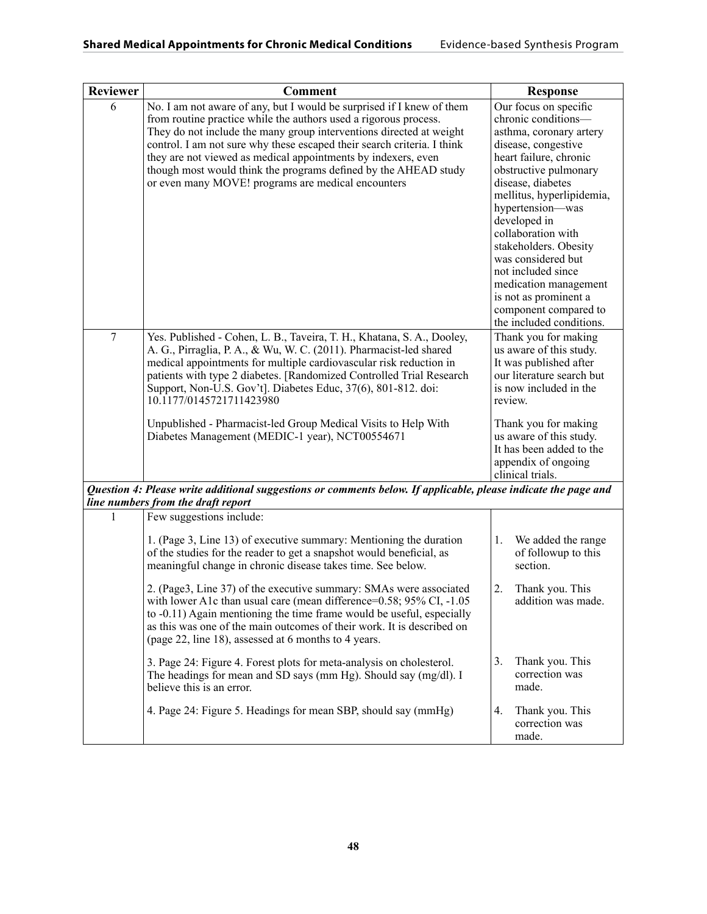| Reviewer       | <b>Comment</b>                                                                                                                                                                                                                                                                                                                                                                                                                                                                                                                                                                                                                                                        | <b>Response</b>                                                                                                                                                                                                                                                                                                                                                                                                                           |
|----------------|-----------------------------------------------------------------------------------------------------------------------------------------------------------------------------------------------------------------------------------------------------------------------------------------------------------------------------------------------------------------------------------------------------------------------------------------------------------------------------------------------------------------------------------------------------------------------------------------------------------------------------------------------------------------------|-------------------------------------------------------------------------------------------------------------------------------------------------------------------------------------------------------------------------------------------------------------------------------------------------------------------------------------------------------------------------------------------------------------------------------------------|
| 6              | No. I am not aware of any, but I would be surprised if I knew of them<br>from routine practice while the authors used a rigorous process.<br>They do not include the many group interventions directed at weight<br>control. I am not sure why these escaped their search criteria. I think<br>they are not viewed as medical appointments by indexers, even<br>though most would think the programs defined by the AHEAD study<br>or even many MOVE! programs are medical encounters                                                                                                                                                                                 | Our focus on specific<br>chronic conditions-<br>asthma, coronary artery<br>disease, congestive<br>heart failure, chronic<br>obstructive pulmonary<br>disease, diabetes<br>mellitus, hyperlipidemia,<br>hypertension—was<br>developed in<br>collaboration with<br>stakeholders. Obesity<br>was considered but<br>not included since<br>medication management<br>is not as prominent a<br>component compared to<br>the included conditions. |
| $\overline{7}$ | Yes. Published - Cohen, L. B., Taveira, T. H., Khatana, S. A., Dooley,<br>A. G., Pirraglia, P. A., & Wu, W. C. (2011). Pharmacist-led shared<br>medical appointments for multiple cardiovascular risk reduction in<br>patients with type 2 diabetes. [Randomized Controlled Trial Research<br>Support, Non-U.S. Gov't]. Diabetes Educ, 37(6), 801-812. doi:<br>10.1177/0145721711423980<br>Unpublished - Pharmacist-led Group Medical Visits to Help With<br>Diabetes Management (MEDIC-1 year), NCT00554671                                                                                                                                                          | Thank you for making<br>us aware of this study.<br>It was published after<br>our literature search but<br>is now included in the<br>review.<br>Thank you for making<br>us aware of this study.<br>It has been added to the<br>appendix of ongoing                                                                                                                                                                                         |
|                |                                                                                                                                                                                                                                                                                                                                                                                                                                                                                                                                                                                                                                                                       | clinical trials.                                                                                                                                                                                                                                                                                                                                                                                                                          |
|                | Question 4: Please write additional suggestions or comments below. If applicable, please indicate the page and<br>line numbers from the draft report                                                                                                                                                                                                                                                                                                                                                                                                                                                                                                                  |                                                                                                                                                                                                                                                                                                                                                                                                                                           |
| 1              | Few suggestions include:<br>1. (Page 3, Line 13) of executive summary: Mentioning the duration<br>of the studies for the reader to get a snapshot would beneficial, as<br>meaningful change in chronic disease takes time. See below.<br>2. (Page3, Line 37) of the executive summary: SMAs were associated<br>with lower A1c than usual care (mean difference=0.58; 95% CI, -1.05<br>to -0.11) Again mentioning the time frame would be useful, especially<br>as this was one of the main outcomes of their work. It is described on<br>(page 22, line 18), assessed at 6 months to 4 years.<br>3. Page 24: Figure 4. Forest plots for meta-analysis on cholesterol. | We added the range<br>1.<br>of followup to this<br>section.<br>2.<br>Thank you. This<br>addition was made.<br>3.<br>Thank you. This                                                                                                                                                                                                                                                                                                       |
|                | The headings for mean and SD says (mm Hg). Should say (mg/dl). I<br>believe this is an error.                                                                                                                                                                                                                                                                                                                                                                                                                                                                                                                                                                         | correction was<br>made.                                                                                                                                                                                                                                                                                                                                                                                                                   |
|                | 4. Page 24: Figure 5. Headings for mean SBP, should say (mmHg)                                                                                                                                                                                                                                                                                                                                                                                                                                                                                                                                                                                                        | Thank you. This<br>4.<br>correction was<br>made.                                                                                                                                                                                                                                                                                                                                                                                          |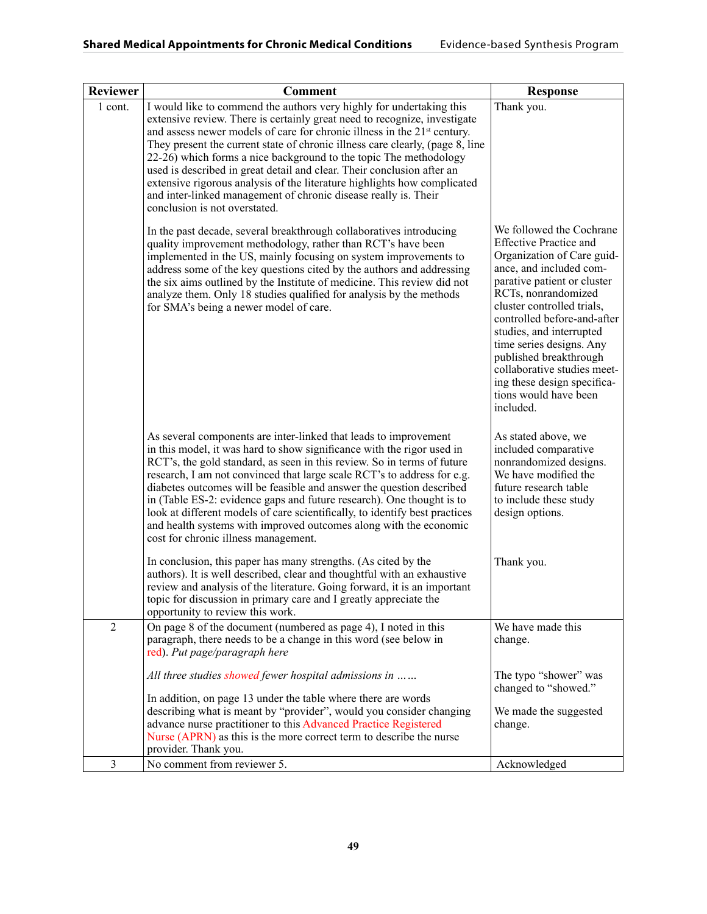| <b>Reviewer</b> | <b>Comment</b>                                                                                                                                                                                                                                                                                                                                                                                                                                                                                                                                                                                                                                            | <b>Response</b>                                                                                                                                                                                                                                                                                                                                                                                                             |
|-----------------|-----------------------------------------------------------------------------------------------------------------------------------------------------------------------------------------------------------------------------------------------------------------------------------------------------------------------------------------------------------------------------------------------------------------------------------------------------------------------------------------------------------------------------------------------------------------------------------------------------------------------------------------------------------|-----------------------------------------------------------------------------------------------------------------------------------------------------------------------------------------------------------------------------------------------------------------------------------------------------------------------------------------------------------------------------------------------------------------------------|
| 1 cont.         | I would like to commend the authors very highly for undertaking this<br>extensive review. There is certainly great need to recognize, investigate<br>and assess newer models of care for chronic illness in the 21 <sup>st</sup> century.<br>They present the current state of chronic illness care clearly, (page 8, line<br>22-26) which forms a nice background to the topic The methodology<br>used is described in great detail and clear. Their conclusion after an<br>extensive rigorous analysis of the literature highlights how complicated<br>and inter-linked management of chronic disease really is. Their<br>conclusion is not overstated. | Thank you.                                                                                                                                                                                                                                                                                                                                                                                                                  |
|                 | In the past decade, several breakthrough collaboratives introducing<br>quality improvement methodology, rather than RCT's have been<br>implemented in the US, mainly focusing on system improvements to<br>address some of the key questions cited by the authors and addressing<br>the six aims outlined by the Institute of medicine. This review did not<br>analyze them. Only 18 studies qualified for analysis by the methods<br>for SMA's being a newer model of care.                                                                                                                                                                              | We followed the Cochrane<br><b>Effective Practice and</b><br>Organization of Care guid-<br>ance, and included com-<br>parative patient or cluster<br>RCTs, nonrandomized<br>cluster controlled trials,<br>controlled before-and-after<br>studies, and interrupted<br>time series designs. Any<br>published breakthrough<br>collaborative studies meet-<br>ing these design specifica-<br>tions would have been<br>included. |
|                 | As several components are inter-linked that leads to improvement<br>in this model, it was hard to show significance with the rigor used in<br>RCT's, the gold standard, as seen in this review. So in terms of future<br>research, I am not convinced that large scale RCT's to address for e.g.<br>diabetes outcomes will be feasible and answer the question described<br>in (Table ES-2: evidence gaps and future research). One thought is to<br>look at different models of care scientifically, to identify best practices<br>and health systems with improved outcomes along with the economic<br>cost for chronic illness management.             | As stated above, we<br>included comparative<br>nonrandomized designs.<br>We have modified the<br>future research table<br>to include these study<br>design options.                                                                                                                                                                                                                                                         |
|                 | In conclusion, this paper has many strengths. (As cited by the<br>authors). It is well described, clear and thoughtful with an exhaustive<br>review and analysis of the literature. Going forward, it is an important<br>topic for discussion in primary care and I greatly appreciate the<br>opportunity to review this work.                                                                                                                                                                                                                                                                                                                            | Thank you.                                                                                                                                                                                                                                                                                                                                                                                                                  |
| $\overline{2}$  | On page 8 of the document (numbered as page 4), I noted in this<br>paragraph, there needs to be a change in this word (see below in<br>red). Put page/paragraph here                                                                                                                                                                                                                                                                                                                                                                                                                                                                                      | We have made this<br>change.                                                                                                                                                                                                                                                                                                                                                                                                |
|                 | All three studies showed fewer hospital admissions in<br>In addition, on page 13 under the table where there are words                                                                                                                                                                                                                                                                                                                                                                                                                                                                                                                                    | The typo "shower" was<br>changed to "showed."                                                                                                                                                                                                                                                                                                                                                                               |
|                 | describing what is meant by "provider", would you consider changing<br>advance nurse practitioner to this Advanced Practice Registered<br>Nurse (APRN) as this is the more correct term to describe the nurse<br>provider. Thank you.                                                                                                                                                                                                                                                                                                                                                                                                                     | We made the suggested<br>change.                                                                                                                                                                                                                                                                                                                                                                                            |
| $\mathfrak{Z}$  | No comment from reviewer 5.                                                                                                                                                                                                                                                                                                                                                                                                                                                                                                                                                                                                                               | Acknowledged                                                                                                                                                                                                                                                                                                                                                                                                                |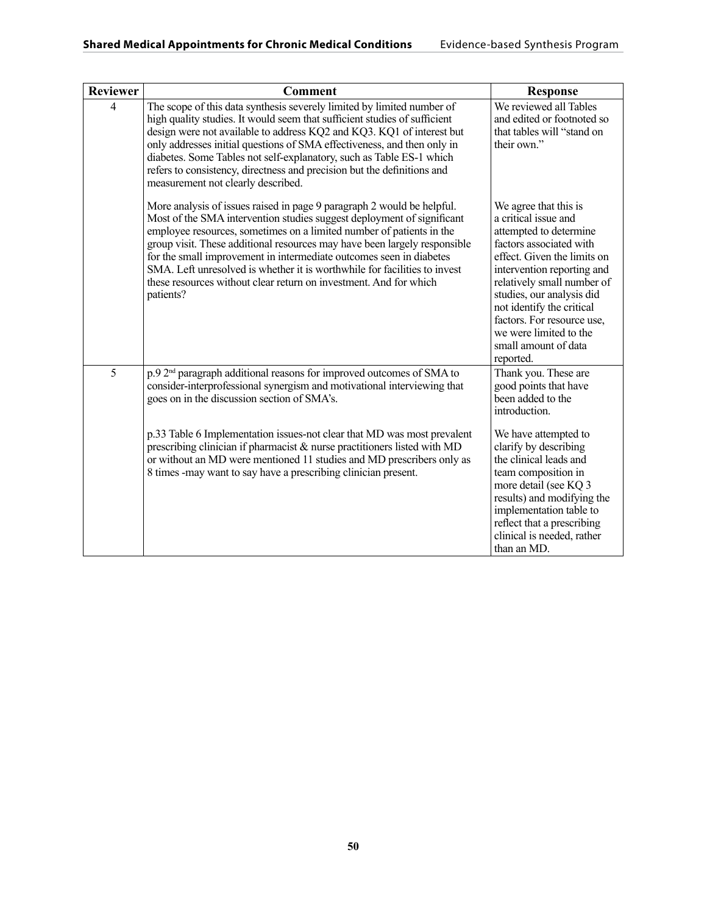| <b>Reviewer</b> | <b>Comment</b>                                                                                                                                                                                                                                                                                                                                                                                                                                                                                                                              | <b>Response</b>                                                                                                                                                                                                                                                                                                                                      |
|-----------------|---------------------------------------------------------------------------------------------------------------------------------------------------------------------------------------------------------------------------------------------------------------------------------------------------------------------------------------------------------------------------------------------------------------------------------------------------------------------------------------------------------------------------------------------|------------------------------------------------------------------------------------------------------------------------------------------------------------------------------------------------------------------------------------------------------------------------------------------------------------------------------------------------------|
| $\overline{4}$  | The scope of this data synthesis severely limited by limited number of<br>high quality studies. It would seem that sufficient studies of sufficient<br>design were not available to address KQ2 and KQ3. KQ1 of interest but<br>only addresses initial questions of SMA effectiveness, and then only in<br>diabetes. Some Tables not self-explanatory, such as Table ES-1 which<br>refers to consistency, directness and precision but the definitions and<br>measurement not clearly described.                                            | We reviewed all Tables<br>and edited or footnoted so<br>that tables will "stand on<br>their own."                                                                                                                                                                                                                                                    |
|                 | More analysis of issues raised in page 9 paragraph 2 would be helpful.<br>Most of the SMA intervention studies suggest deployment of significant<br>employee resources, sometimes on a limited number of patients in the<br>group visit. These additional resources may have been largely responsible<br>for the small improvement in intermediate outcomes seen in diabetes<br>SMA. Left unresolved is whether it is worthwhile for facilities to invest<br>these resources without clear return on investment. And for which<br>patients? | We agree that this is<br>a critical issue and<br>attempted to determine<br>factors associated with<br>effect. Given the limits on<br>intervention reporting and<br>relatively small number of<br>studies, our analysis did<br>not identify the critical<br>factors. For resource use,<br>we were limited to the<br>small amount of data<br>reported. |
| 5               | p.9 2 <sup>nd</sup> paragraph additional reasons for improved outcomes of SMA to<br>consider-interprofessional synergism and motivational interviewing that<br>goes on in the discussion section of SMA's.                                                                                                                                                                                                                                                                                                                                  | Thank you. These are<br>good points that have<br>been added to the<br>introduction.                                                                                                                                                                                                                                                                  |
|                 | p.33 Table 6 Implementation issues-not clear that MD was most prevalent<br>prescribing clinician if pharmacist $\&$ nurse practitioners listed with MD<br>or without an MD were mentioned 11 studies and MD prescribers only as<br>8 times -may want to say have a prescribing clinician present.                                                                                                                                                                                                                                           | We have attempted to<br>clarify by describing<br>the clinical leads and<br>team composition in<br>more detail (see KQ 3<br>results) and modifying the<br>implementation table to<br>reflect that a prescribing<br>clinical is needed, rather<br>than an MD.                                                                                          |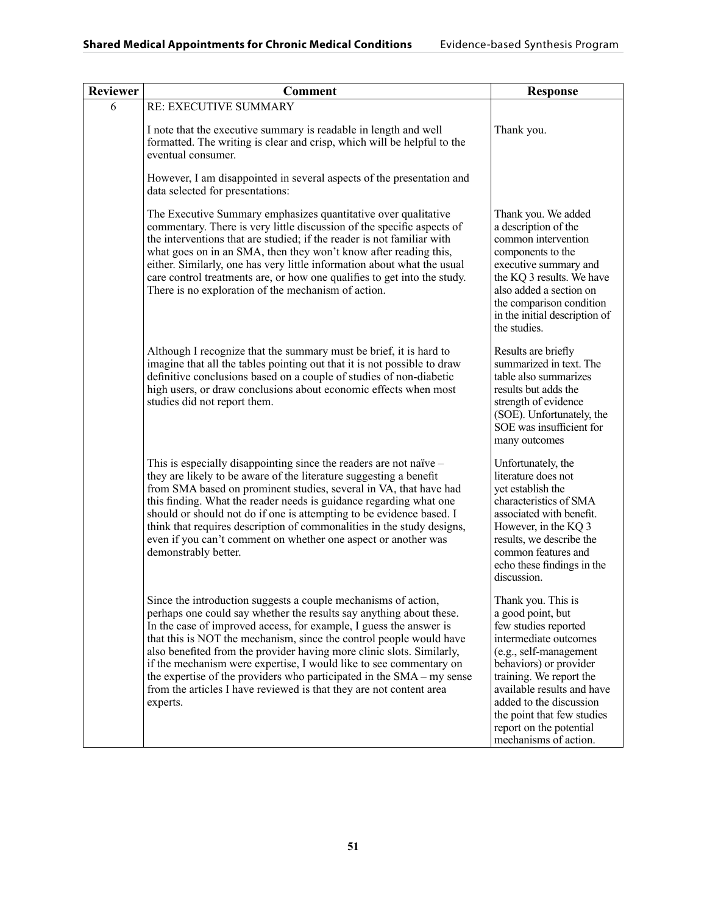| <b>Reviewer</b> | <b>Comment</b>                                                                                                                                                                                                                                                                                                                                                                                                                                                                                                                                                                                | <b>Response</b>                                                                                                                                                                                                                                                                                                    |
|-----------------|-----------------------------------------------------------------------------------------------------------------------------------------------------------------------------------------------------------------------------------------------------------------------------------------------------------------------------------------------------------------------------------------------------------------------------------------------------------------------------------------------------------------------------------------------------------------------------------------------|--------------------------------------------------------------------------------------------------------------------------------------------------------------------------------------------------------------------------------------------------------------------------------------------------------------------|
| 6               | RE: EXECUTIVE SUMMARY                                                                                                                                                                                                                                                                                                                                                                                                                                                                                                                                                                         |                                                                                                                                                                                                                                                                                                                    |
|                 | I note that the executive summary is readable in length and well<br>formatted. The writing is clear and crisp, which will be helpful to the<br>eventual consumer.                                                                                                                                                                                                                                                                                                                                                                                                                             | Thank you.                                                                                                                                                                                                                                                                                                         |
|                 | However, I am disappointed in several aspects of the presentation and<br>data selected for presentations:                                                                                                                                                                                                                                                                                                                                                                                                                                                                                     |                                                                                                                                                                                                                                                                                                                    |
|                 | The Executive Summary emphasizes quantitative over qualitative<br>commentary. There is very little discussion of the specific aspects of<br>the interventions that are studied; if the reader is not familiar with<br>what goes on in an SMA, then they won't know after reading this,<br>either. Similarly, one has very little information about what the usual<br>care control treatments are, or how one qualifies to get into the study.<br>There is no exploration of the mechanism of action.                                                                                          | Thank you. We added<br>a description of the<br>common intervention<br>components to the<br>executive summary and<br>the KQ 3 results. We have<br>also added a section on<br>the comparison condition<br>in the initial description of<br>the studies.                                                              |
|                 | Although I recognize that the summary must be brief, it is hard to<br>imagine that all the tables pointing out that it is not possible to draw<br>definitive conclusions based on a couple of studies of non-diabetic<br>high users, or draw conclusions about economic effects when most<br>studies did not report them.                                                                                                                                                                                                                                                                     | Results are briefly<br>summarized in text. The<br>table also summarizes<br>results but adds the<br>strength of evidence<br>(SOE). Unfortunately, the<br>SOE was insufficient for<br>many outcomes                                                                                                                  |
|                 | This is especially disappointing since the readers are not naïve $-$<br>they are likely to be aware of the literature suggesting a benefit<br>from SMA based on prominent studies, several in VA, that have had<br>this finding. What the reader needs is guidance regarding what one<br>should or should not do if one is attempting to be evidence based. I<br>think that requires description of commonalities in the study designs,<br>even if you can't comment on whether one aspect or another was<br>demonstrably better.                                                             | Unfortunately, the<br>literature does not<br>yet establish the<br>characteristics of SMA<br>associated with benefit.<br>However, in the KQ 3<br>results, we describe the<br>common features and<br>echo these findings in the<br>discussion.                                                                       |
|                 | Since the introduction suggests a couple mechanisms of action,<br>perhaps one could say whether the results say anything about these.<br>In the case of improved access, for example, I guess the answer is<br>that this is NOT the mechanism, since the control people would have<br>also benefited from the provider having more clinic slots. Similarly,<br>if the mechanism were expertise, I would like to see commentary on<br>the expertise of the providers who participated in the SMA – my sense<br>from the articles I have reviewed is that they are not content area<br>experts. | Thank you. This is<br>a good point, but<br>few studies reported<br>intermediate outcomes<br>(e.g., self-management<br>behaviors) or provider<br>training. We report the<br>available results and have<br>added to the discussion<br>the point that few studies<br>report on the potential<br>mechanisms of action. |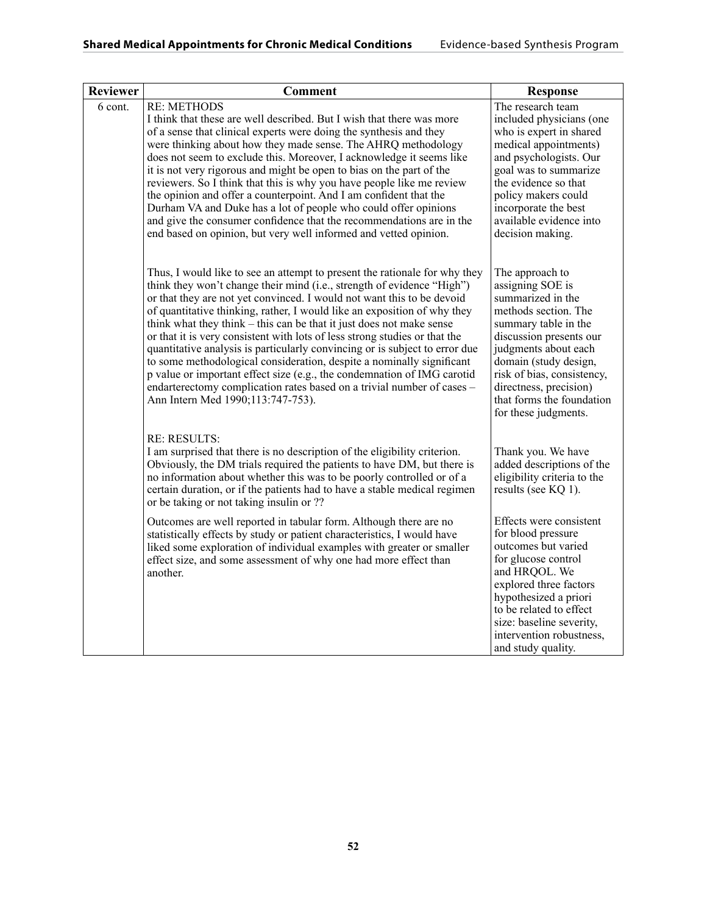| <b>Reviewer</b> | <b>Comment</b>                                                                                                                                                                                                                                                                                                                                                                                                                                                                                                                                                                                                                                                                                                                                                                                                     | <b>Response</b>                                                                                                                                                                                                                                                                                   |
|-----------------|--------------------------------------------------------------------------------------------------------------------------------------------------------------------------------------------------------------------------------------------------------------------------------------------------------------------------------------------------------------------------------------------------------------------------------------------------------------------------------------------------------------------------------------------------------------------------------------------------------------------------------------------------------------------------------------------------------------------------------------------------------------------------------------------------------------------|---------------------------------------------------------------------------------------------------------------------------------------------------------------------------------------------------------------------------------------------------------------------------------------------------|
| 6 cont.         | <b>RE: METHODS</b><br>I think that these are well described. But I wish that there was more<br>of a sense that clinical experts were doing the synthesis and they<br>were thinking about how they made sense. The AHRQ methodology<br>does not seem to exclude this. Moreover, I acknowledge it seems like<br>it is not very rigorous and might be open to bias on the part of the<br>reviewers. So I think that this is why you have people like me review<br>the opinion and offer a counterpoint. And I am confident that the<br>Durham VA and Duke has a lot of people who could offer opinions<br>and give the consumer confidence that the recommendations are in the<br>end based on opinion, but very well informed and vetted opinion.                                                                    | The research team<br>included physicians (one<br>who is expert in shared<br>medical appointments)<br>and psychologists. Our<br>goal was to summarize<br>the evidence so that<br>policy makers could<br>incorporate the best<br>available evidence into<br>decision making.                        |
|                 | Thus, I would like to see an attempt to present the rationale for why they<br>think they won't change their mind (i.e., strength of evidence "High")<br>or that they are not yet convinced. I would not want this to be devoid<br>of quantitative thinking, rather, I would like an exposition of why they<br>think what they think – this can be that it just does not make sense<br>or that it is very consistent with lots of less strong studies or that the<br>quantitative analysis is particularly convincing or is subject to error due<br>to some methodological consideration, despite a nominally significant<br>p value or important effect size (e.g., the condemnation of IMG carotid<br>endarterectomy complication rates based on a trivial number of cases -<br>Ann Intern Med 1990;113:747-753). | The approach to<br>assigning SOE is<br>summarized in the<br>methods section. The<br>summary table in the<br>discussion presents our<br>judgments about each<br>domain (study design,<br>risk of bias, consistency,<br>directness, precision)<br>that forms the foundation<br>for these judgments. |
|                 | <b>RE: RESULTS:</b><br>I am surprised that there is no description of the eligibility criterion.<br>Obviously, the DM trials required the patients to have DM, but there is<br>no information about whether this was to be poorly controlled or of a<br>certain duration, or if the patients had to have a stable medical regimen<br>or be taking or not taking insulin or ??                                                                                                                                                                                                                                                                                                                                                                                                                                      | Thank you. We have<br>added descriptions of the<br>eligibility criteria to the<br>results (see KQ 1).                                                                                                                                                                                             |
|                 | Outcomes are well reported in tabular form. Although there are no<br>statistically effects by study or patient characteristics, I would have<br>liked some exploration of individual examples with greater or smaller<br>effect size, and some assessment of why one had more effect than<br>another.                                                                                                                                                                                                                                                                                                                                                                                                                                                                                                              | Effects were consistent<br>for blood pressure<br>outcomes but varied<br>for glucose control<br>and HRQOL. We<br>explored three factors<br>hypothesized a priori<br>to be related to effect<br>size: baseline severity,<br>intervention robustness,<br>and study quality.                          |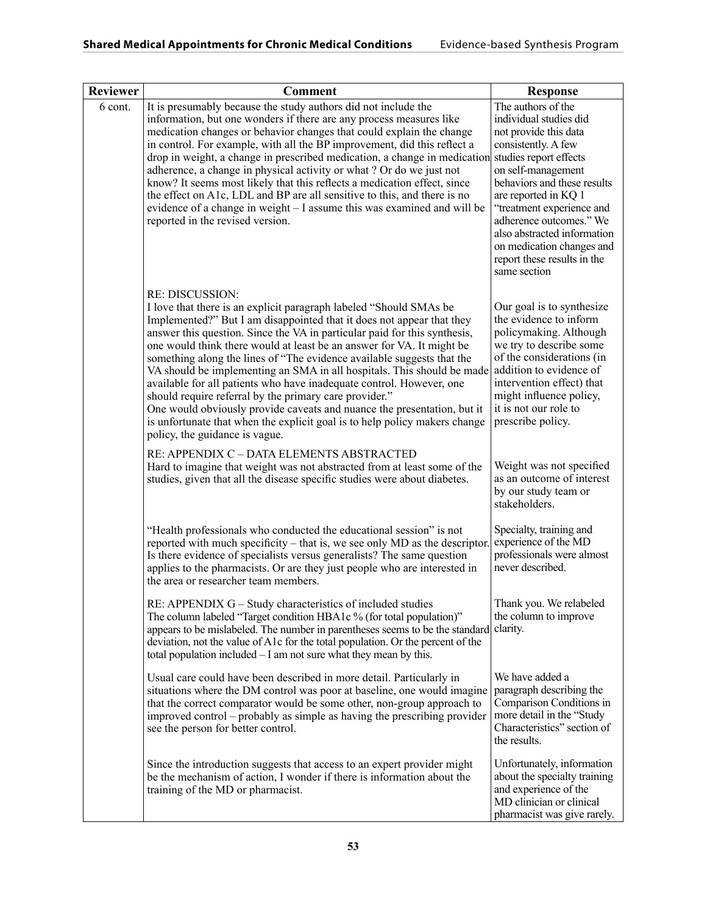| <b>Reviewer</b> | <b>Comment</b>                                                                                                                                                                                                                                                                                                                                                                                                                                                                                                                                                                                                                                                                                                                                                                                               | <b>Response</b>                                                                                                                                                                                                                                                                                                                              |
|-----------------|--------------------------------------------------------------------------------------------------------------------------------------------------------------------------------------------------------------------------------------------------------------------------------------------------------------------------------------------------------------------------------------------------------------------------------------------------------------------------------------------------------------------------------------------------------------------------------------------------------------------------------------------------------------------------------------------------------------------------------------------------------------------------------------------------------------|----------------------------------------------------------------------------------------------------------------------------------------------------------------------------------------------------------------------------------------------------------------------------------------------------------------------------------------------|
| 6 cont.         | It is presumably because the study authors did not include the<br>information, but one wonders if there are any process measures like<br>medication changes or behavior changes that could explain the change<br>in control. For example, with all the BP improvement, did this reflect a<br>drop in weight, a change in prescribed medication, a change in medication studies report effects<br>adherence, a change in physical activity or what? Or do we just not<br>know? It seems most likely that this reflects a medication effect, since<br>the effect on A1c, LDL and BP are all sensitive to this, and there is no<br>evidence of a change in weight - I assume this was examined and will be<br>reported in the revised version.                                                                  | The authors of the<br>individual studies did<br>not provide this data<br>consistently. A few<br>on self-management<br>behaviors and these results<br>are reported in KQ 1<br>"treatment experience and<br>adherence outcomes." We<br>also abstracted information<br>on medication changes and<br>report these results in the<br>same section |
|                 | <b>RE: DISCUSSION:</b><br>I love that there is an explicit paragraph labeled "Should SMAs be<br>Implemented?" But I am disappointed that it does not appear that they<br>answer this question. Since the VA in particular paid for this synthesis,<br>one would think there would at least be an answer for VA. It might be<br>something along the lines of "The evidence available suggests that the<br>VA should be implementing an SMA in all hospitals. This should be made<br>available for all patients who have inadequate control. However, one<br>should require referral by the primary care provider."<br>One would obviously provide caveats and nuance the presentation, but it<br>is unfortunate that when the explicit goal is to help policy makers change<br>policy, the guidance is vague. | Our goal is to synthesize<br>the evidence to inform<br>policymaking. Although<br>we try to describe some<br>of the considerations (in<br>addition to evidence of<br>intervention effect) that<br>might influence policy,<br>it is not our role to<br>prescribe policy.                                                                       |
|                 | RE: APPENDIX C - DATA ELEMENTS ABSTRACTED<br>Hard to imagine that weight was not abstracted from at least some of the<br>studies, given that all the disease specific studies were about diabetes.                                                                                                                                                                                                                                                                                                                                                                                                                                                                                                                                                                                                           | Weight was not specified<br>as an outcome of interest<br>by our study team or<br>stakeholders.                                                                                                                                                                                                                                               |
|                 | "Health professionals who conducted the educational session" is not<br>reported with much specificity – that is, we see only MD as the descriptor.<br>Is there evidence of specialists versus generalists? The same question<br>applies to the pharmacists. Or are they just people who are interested in<br>the area or researcher team members.                                                                                                                                                                                                                                                                                                                                                                                                                                                            | Specialty, training and<br>experience of the MD<br>professionals were almost<br>never described.                                                                                                                                                                                                                                             |
|                 | RE: APPENDIX G - Study characteristics of included studies<br>The column labeled "Target condition HBA1c % (for total population)"<br>appears to be mislabeled. The number in parentheses seems to be the standard<br>deviation, not the value of A1c for the total population. Or the percent of the<br>total population included $- I$ am not sure what they mean by this.                                                                                                                                                                                                                                                                                                                                                                                                                                 | Thank you. We relabeled<br>the column to improve<br>clarity.                                                                                                                                                                                                                                                                                 |
|                 | Usual care could have been described in more detail. Particularly in<br>situations where the DM control was poor at baseline, one would imagine<br>that the correct comparator would be some other, non-group approach to<br>improved control – probably as simple as having the prescribing provider<br>see the person for better control.                                                                                                                                                                                                                                                                                                                                                                                                                                                                  | We have added a<br>paragraph describing the<br>Comparison Conditions in<br>more detail in the "Study"<br>Characteristics" section of<br>the results.                                                                                                                                                                                         |
|                 | Since the introduction suggests that access to an expert provider might<br>be the mechanism of action, I wonder if there is information about the<br>training of the MD or pharmacist.                                                                                                                                                                                                                                                                                                                                                                                                                                                                                                                                                                                                                       | Unfortunately, information<br>about the specialty training<br>and experience of the<br>MD clinician or clinical<br>pharmacist was give rarely.                                                                                                                                                                                               |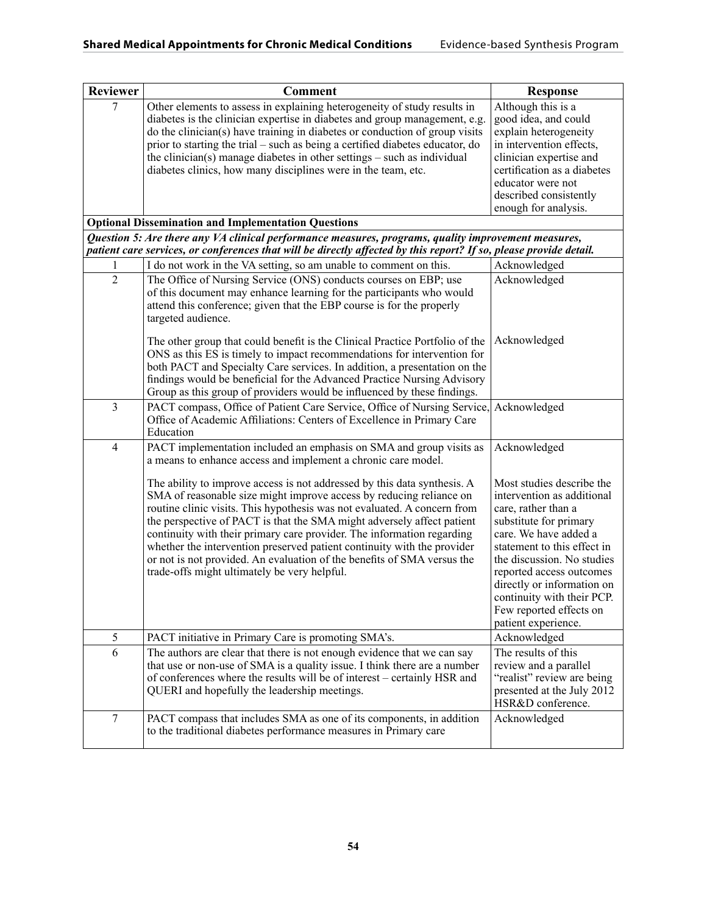| <b>Reviewer</b> | <b>Comment</b>                                                                                                                                                                                                                                                                                                                                                                                                                                                                                                                                                                                                                                                                                                                | <b>Response</b>                                                                                                                                                                                                                                                                                                                                          |
|-----------------|-------------------------------------------------------------------------------------------------------------------------------------------------------------------------------------------------------------------------------------------------------------------------------------------------------------------------------------------------------------------------------------------------------------------------------------------------------------------------------------------------------------------------------------------------------------------------------------------------------------------------------------------------------------------------------------------------------------------------------|----------------------------------------------------------------------------------------------------------------------------------------------------------------------------------------------------------------------------------------------------------------------------------------------------------------------------------------------------------|
| 7               | Other elements to assess in explaining heterogeneity of study results in<br>diabetes is the clinician expertise in diabetes and group management, e.g.<br>do the clinician(s) have training in diabetes or conduction of group visits<br>prior to starting the trial – such as being a certified diabetes educator, do<br>the clinician(s) manage diabetes in other settings $-$ such as individual<br>diabetes clinics, how many disciplines were in the team, etc.<br><b>Optional Dissemination and Implementation Questions</b>                                                                                                                                                                                            | Although this is a<br>good idea, and could<br>explain heterogeneity<br>in intervention effects,<br>clinician expertise and<br>certification as a diabetes<br>educator were not<br>described consistently<br>enough for analysis.                                                                                                                         |
|                 | Question 5: Are there any VA clinical performance measures, programs, quality improvement measures,<br>patient care services, or conferences that will be directly affected by this report? If so, please provide detail.                                                                                                                                                                                                                                                                                                                                                                                                                                                                                                     |                                                                                                                                                                                                                                                                                                                                                          |
| 1               | I do not work in the VA setting, so am unable to comment on this.                                                                                                                                                                                                                                                                                                                                                                                                                                                                                                                                                                                                                                                             | Acknowledged                                                                                                                                                                                                                                                                                                                                             |
| $\overline{2}$  | The Office of Nursing Service (ONS) conducts courses on EBP; use<br>of this document may enhance learning for the participants who would<br>attend this conference; given that the EBP course is for the properly<br>targeted audience.<br>The other group that could benefit is the Clinical Practice Portfolio of the<br>ONS as this ES is timely to impact recommendations for intervention for<br>both PACT and Specialty Care services. In addition, a presentation on the<br>findings would be beneficial for the Advanced Practice Nursing Advisory<br>Group as this group of providers would be influenced by these findings.                                                                                         | Acknowledged<br>Acknowledged                                                                                                                                                                                                                                                                                                                             |
| 3               | PACT compass, Office of Patient Care Service, Office of Nursing Service,<br>Office of Academic Affiliations: Centers of Excellence in Primary Care<br>Education                                                                                                                                                                                                                                                                                                                                                                                                                                                                                                                                                               | Acknowledged                                                                                                                                                                                                                                                                                                                                             |
| $\overline{4}$  | PACT implementation included an emphasis on SMA and group visits as<br>a means to enhance access and implement a chronic care model.<br>The ability to improve access is not addressed by this data synthesis. A<br>SMA of reasonable size might improve access by reducing reliance on<br>routine clinic visits. This hypothesis was not evaluated. A concern from<br>the perspective of PACT is that the SMA might adversely affect patient<br>continuity with their primary care provider. The information regarding<br>whether the intervention preserved patient continuity with the provider<br>or not is not provided. An evaluation of the benefits of SMA versus the<br>trade-offs might ultimately be very helpful. | Acknowledged<br>Most studies describe the<br>intervention as additional<br>care, rather than a<br>substitute for primary<br>care. We have added a<br>statement to this effect in<br>the discussion. No studies<br>reported access outcomes<br>directly or information on<br>continuity with their PCP.<br>Few reported effects on<br>patient experience. |
| 5               | PACT initiative in Primary Care is promoting SMA's.                                                                                                                                                                                                                                                                                                                                                                                                                                                                                                                                                                                                                                                                           | Acknowledged                                                                                                                                                                                                                                                                                                                                             |
| 6               | The authors are clear that there is not enough evidence that we can say<br>that use or non-use of SMA is a quality issue. I think there are a number<br>of conferences where the results will be of interest - certainly HSR and<br>QUERI and hopefully the leadership meetings.                                                                                                                                                                                                                                                                                                                                                                                                                                              | The results of this<br>review and a parallel<br>"realist" review are being<br>presented at the July 2012<br>HSR&D conference.                                                                                                                                                                                                                            |
| 7               | PACT compass that includes SMA as one of its components, in addition<br>to the traditional diabetes performance measures in Primary care                                                                                                                                                                                                                                                                                                                                                                                                                                                                                                                                                                                      | Acknowledged                                                                                                                                                                                                                                                                                                                                             |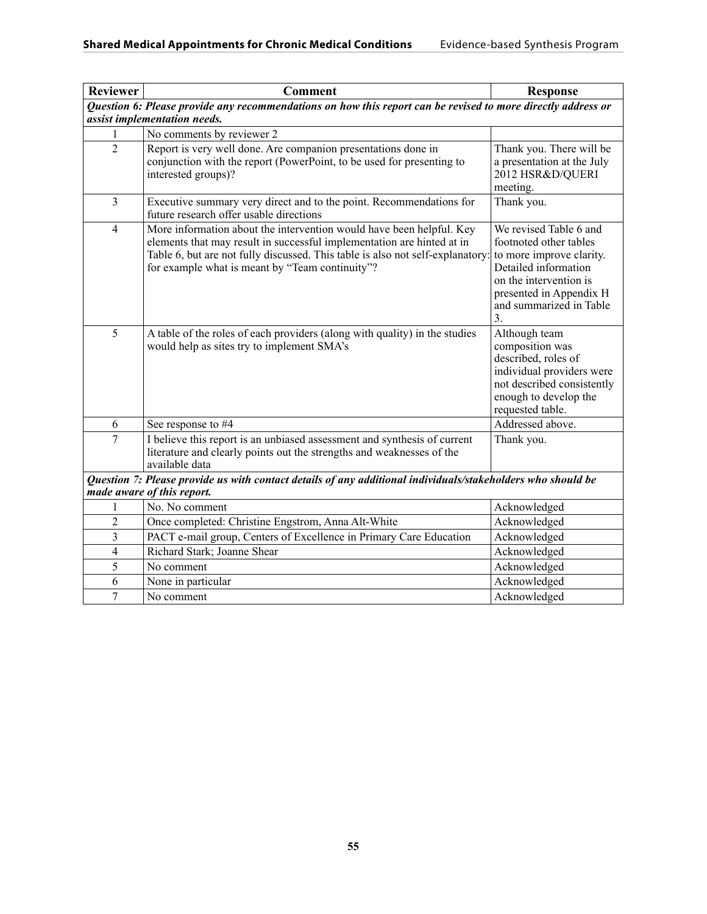| <b>Reviewer</b> | <b>Comment</b>                                                                                                                                                                                                                                                                      | <b>Response</b>                                                                                                                                                                            |
|-----------------|-------------------------------------------------------------------------------------------------------------------------------------------------------------------------------------------------------------------------------------------------------------------------------------|--------------------------------------------------------------------------------------------------------------------------------------------------------------------------------------------|
|                 | Question 6: Please provide any recommendations on how this report can be revised to more directly address or                                                                                                                                                                        |                                                                                                                                                                                            |
|                 | assist implementation needs.                                                                                                                                                                                                                                                        |                                                                                                                                                                                            |
| 1               | No comments by reviewer 2                                                                                                                                                                                                                                                           |                                                                                                                                                                                            |
| $\overline{2}$  | Report is very well done. Are companion presentations done in<br>conjunction with the report (PowerPoint, to be used for presenting to<br>interested groups)?                                                                                                                       | Thank you. There will be<br>a presentation at the July<br>2012 HSR&D/QUERI<br>meeting.                                                                                                     |
| 3               | Executive summary very direct and to the point. Recommendations for<br>future research offer usable directions                                                                                                                                                                      | Thank you.                                                                                                                                                                                 |
| $\overline{4}$  | More information about the intervention would have been helpful. Key<br>elements that may result in successful implementation are hinted at in<br>Table 6, but are not fully discussed. This table is also not self-explanatory:<br>for example what is meant by "Team continuity"? | We revised Table 6 and<br>footnoted other tables<br>to more improve clarity.<br>Detailed information<br>on the intervention is<br>presented in Appendix H<br>and summarized in Table<br>3. |
| 5               | A table of the roles of each providers (along with quality) in the studies<br>would help as sites try to implement SMA's                                                                                                                                                            | Although team<br>composition was<br>described, roles of<br>individual providers were<br>not described consistently<br>enough to develop the<br>requested table.                            |
| 6               | See response to #4                                                                                                                                                                                                                                                                  | Addressed above.                                                                                                                                                                           |
| 7               | I believe this report is an unbiased assessment and synthesis of current<br>literature and clearly points out the strengths and weaknesses of the<br>available data                                                                                                                 | Thank you.                                                                                                                                                                                 |
|                 | Question 7: Please provide us with contact details of any additional individuals/stakeholders who should be<br>made aware of this report.                                                                                                                                           |                                                                                                                                                                                            |
| 1               | No. No comment                                                                                                                                                                                                                                                                      | Acknowledged                                                                                                                                                                               |
| $\overline{c}$  | Once completed: Christine Engstrom, Anna Alt-White                                                                                                                                                                                                                                  | Acknowledged                                                                                                                                                                               |
| 3               | PACT e-mail group, Centers of Excellence in Primary Care Education                                                                                                                                                                                                                  | Acknowledged                                                                                                                                                                               |
| 4               | Richard Stark; Joanne Shear                                                                                                                                                                                                                                                         | Acknowledged                                                                                                                                                                               |
| 5               | No comment                                                                                                                                                                                                                                                                          | Acknowledged                                                                                                                                                                               |
| 6               | None in particular                                                                                                                                                                                                                                                                  | Acknowledged                                                                                                                                                                               |
| 7               | No comment                                                                                                                                                                                                                                                                          | Acknowledged                                                                                                                                                                               |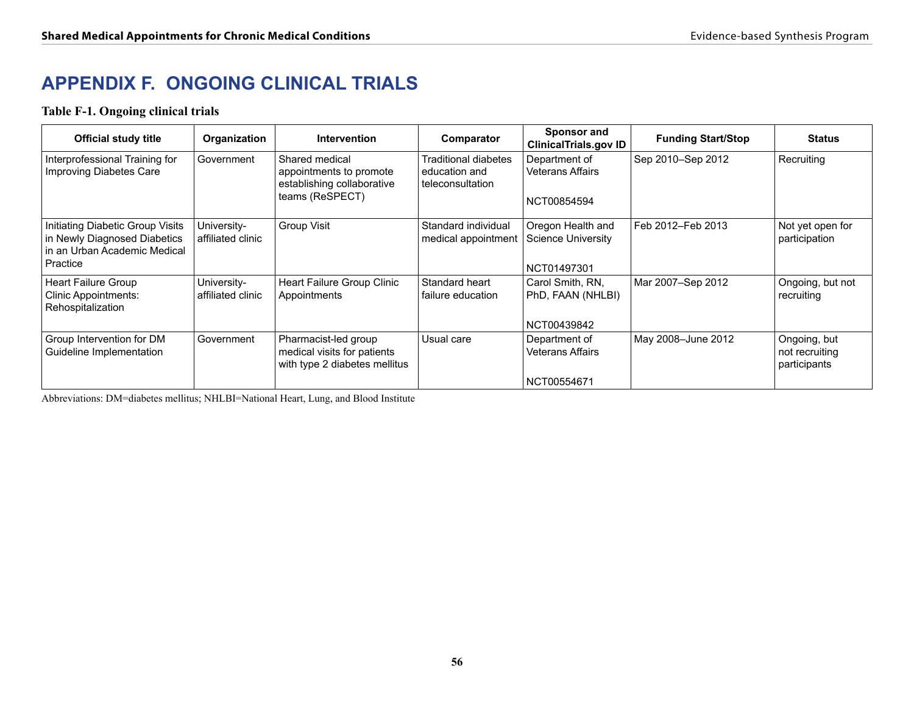# **APPENDIX F. ONGOING CLINICAL TRIALS**

## **Table F-1. Ongoing clinical trials**

| <b>Official study title</b>                                                                                  | Organization                     | <b>Intervention</b>                                                                        | Comparator                                                | Sponsor and<br><b>ClinicalTrials.gov ID</b>            | <b>Funding Start/Stop</b> | <b>Status</b>                                  |
|--------------------------------------------------------------------------------------------------------------|----------------------------------|--------------------------------------------------------------------------------------------|-----------------------------------------------------------|--------------------------------------------------------|---------------------------|------------------------------------------------|
| Interprofessional Training for<br>Improving Diabetes Care                                                    | Government                       | Shared medical<br>appointments to promote<br>establishing collaborative<br>teams (ReSPECT) | Traditional diabetes<br>education and<br>teleconsultation | Department of<br>Veterans Affairs<br>NCT00854594       | Sep 2010–Sep 2012         | Recruiting                                     |
| Initiating Diabetic Group Visits<br>in Newly Diagnosed Diabetics<br>in an Urban Academic Medical<br>Practice | University-<br>affiliated clinic | <b>Group Visit</b>                                                                         | Standard individual<br>medical appointment                | Oregon Health and<br>Science University<br>NCT01497301 | Feb 2012–Feb 2013         | Not yet open for<br>participation              |
| <b>Heart Failure Group</b><br><b>Clinic Appointments:</b><br>Rehospitalization                               | University-<br>affiliated clinic | Heart Failure Group Clinic<br>Appointments                                                 | Standard heart<br>failure education                       | Carol Smith, RN,<br>PhD, FAAN (NHLBI)<br>NCT00439842   | Mar 2007-Sep 2012         | Ongoing, but not<br>recruiting                 |
| Group Intervention for DM<br>Guideline Implementation                                                        | Government                       | Pharmacist-led group<br>medical visits for patients<br>with type 2 diabetes mellitus       | Usual care                                                | Department of<br>Veterans Affairs<br>NCT00554671       | May 2008-June 2012        | Ongoing, but<br>not recruiting<br>participants |

Abbreviations: DM=diabetes mellitus; NHLBI=National Heart, Lung, and Blood Institute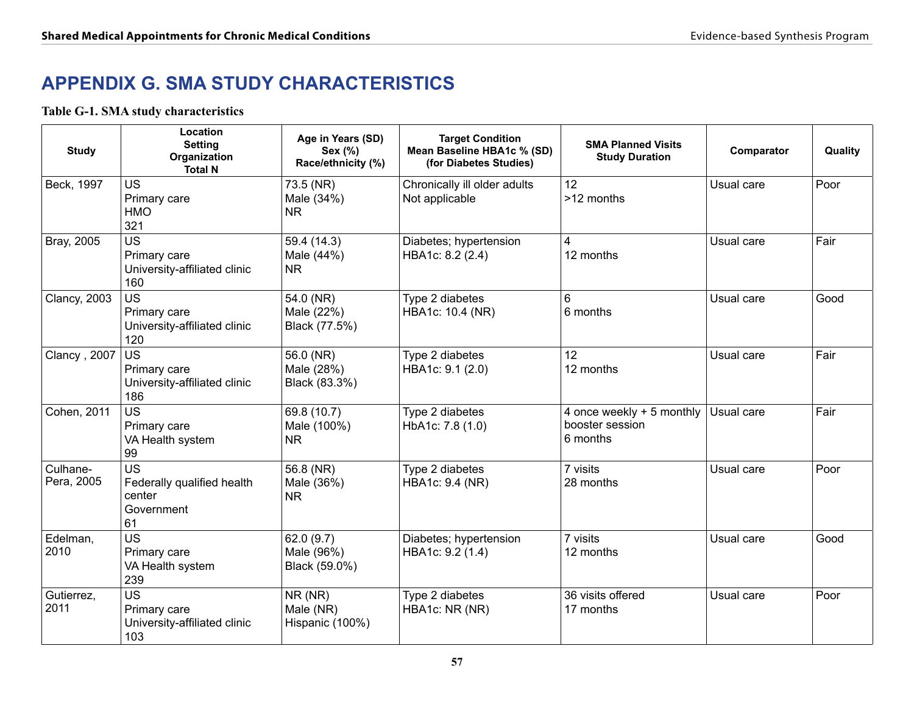# **APPENDIX G. SMA STUDY CHARACTERISTICS**

## **Table G-1. SMA study characteristics**

| <b>Study</b>           | Location<br><b>Setting</b><br>Organization<br><b>Total N</b>          | Age in Years (SD)<br>Sex (%)<br>Race/ethnicity (%) | <b>Target Condition</b><br>Mean Baseline HBA1c % (SD)<br>(for Diabetes Studies) | <b>SMA Planned Visits</b><br><b>Study Duration</b>       | Comparator | Quality |
|------------------------|-----------------------------------------------------------------------|----------------------------------------------------|---------------------------------------------------------------------------------|----------------------------------------------------------|------------|---------|
| Beck, 1997             | <b>US</b><br>Primary care<br><b>HMO</b><br>321                        | 73.5 (NR)<br>Male (34%)<br><b>NR</b>               | Chronically ill older adults<br>Not applicable                                  | 12<br>>12 months                                         | Usual care | Poor    |
| Bray, 2005             | <b>US</b><br>Primary care<br>University-affiliated clinic<br>160      | 59.4 (14.3)<br>Male (44%)<br><b>NR</b>             | Diabetes; hypertension<br>HBA1c: 8.2 (2.4)                                      | 4<br>12 months                                           | Usual care | Fair    |
| <b>Clancy, 2003</b>    | <b>US</b><br>Primary care<br>University-affiliated clinic<br>120      | 54.0 (NR)<br>Male (22%)<br>Black (77.5%)           | Type 2 diabetes<br>HBA1c: 10.4 (NR)                                             | 6<br>6 months                                            | Usual care | Good    |
| Clancy, 2007           | <b>US</b><br>Primary care<br>University-affiliated clinic<br>186      | 56.0 (NR)<br>Male (28%)<br>Black (83.3%)           | Type 2 diabetes<br>HBA1c: 9.1 (2.0)                                             | 12<br>12 months                                          | Usual care | Fair    |
| Cohen, 2011            | <b>US</b><br>Primary care<br>VA Health system<br>99                   | 69.8 (10.7)<br>Male (100%)<br>NR.                  | Type 2 diabetes<br>HbA1c: 7.8 (1.0)                                             | 4 once weekly + 5 monthly<br>booster session<br>6 months | Usual care | Fair    |
| Culhane-<br>Pera, 2005 | <b>US</b><br>Federally qualified health<br>center<br>Government<br>61 | 56.8 (NR)<br>Male (36%)<br><b>NR</b>               | Type 2 diabetes<br><b>HBA1c: 9.4 (NR)</b>                                       | 7 visits<br>28 months                                    | Usual care | Poor    |
| Edelman,<br>2010       | US<br>Primary care<br>VA Health system<br>239                         | 62.0(9.7)<br>Male (96%)<br>Black (59.0%)           | Diabetes; hypertension<br>HBA1c: 9.2 (1.4)                                      | 7 visits<br>12 months                                    | Usual care | Good    |
| Gutierrez,<br>2011     | <b>US</b><br>Primary care<br>University-affiliated clinic<br>103      | NR (NR)<br>Male (NR)<br>Hispanic (100%)            | Type 2 diabetes<br>HBA1c: NR (NR)                                               | 36 visits offered<br>17 months                           | Usual care | Poor    |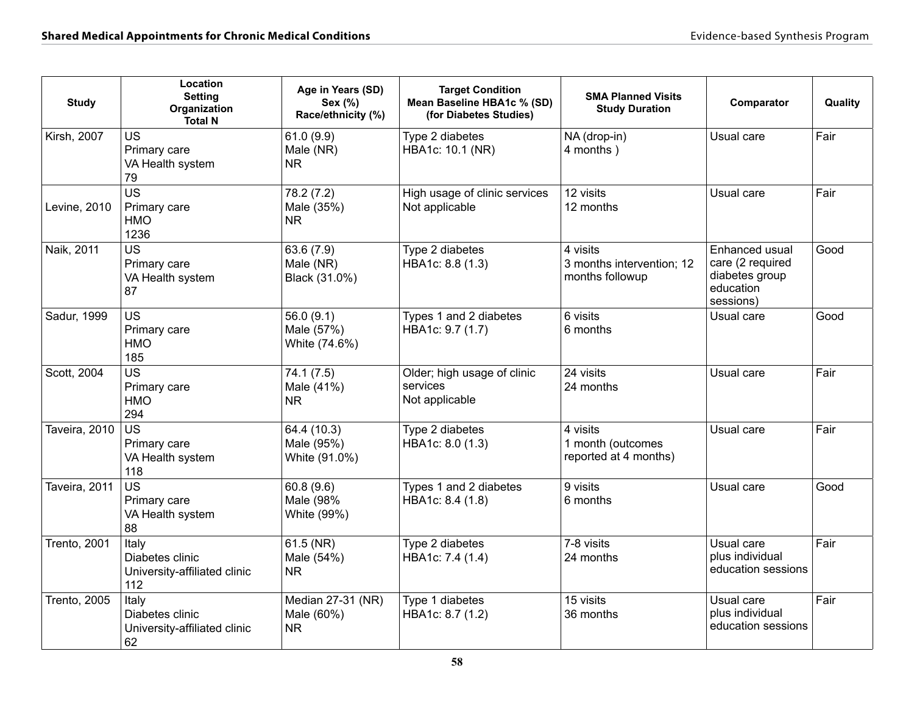| <b>Study</b>        | Location<br><b>Setting</b><br>Organization<br><b>Total N</b>    | Age in Years (SD)<br>Sex (%)<br>Race/ethnicity (%) | <b>Target Condition</b><br>Mean Baseline HBA1c % (SD)<br>(for Diabetes Studies) | <b>SMA Planned Visits</b><br><b>Study Duration</b>       | Comparator                                                                     | Quality |
|---------------------|-----------------------------------------------------------------|----------------------------------------------------|---------------------------------------------------------------------------------|----------------------------------------------------------|--------------------------------------------------------------------------------|---------|
| <b>Kirsh, 2007</b>  | <b>US</b><br>Primary care<br>VA Health system<br>79             | 61.0(9.9)<br>Male (NR)<br>NR.                      | Type 2 diabetes<br>HBA1c: 10.1 (NR)                                             | NA (drop-in)<br>4 months)                                | Usual care                                                                     | Fair    |
| Levine, 2010        | $\overline{US}$<br>Primary care<br><b>HMO</b><br>1236           | 78.2 (7.2)<br>Male (35%)<br><b>NR</b>              | High usage of clinic services<br>Not applicable                                 | 12 visits<br>12 months                                   | Usual care                                                                     | Fair    |
| Naik, 2011          | <b>US</b><br>Primary care<br>VA Health system<br>87             | 63.6 (7.9)<br>Male (NR)<br>Black (31.0%)           | Type 2 diabetes<br>HBA1c: 8.8 (1.3)                                             | 4 visits<br>3 months intervention; 12<br>months followup | Enhanced usual<br>care (2 required<br>diabetes group<br>education<br>sessions) | Good    |
| Sadur, 1999         | <b>US</b><br>Primary care<br><b>HMO</b><br>185                  | 56.0(9.1)<br>Male (57%)<br>White (74.6%)           | Types 1 and 2 diabetes<br>HBA1c: 9.7 (1.7)                                      | 6 visits<br>6 months                                     | Usual care                                                                     | Good    |
| Scott, 2004         | <b>US</b><br>Primary care<br><b>HMO</b><br>294                  | 74.1(7.5)<br>Male (41%)<br><b>NR</b>               | Older; high usage of clinic<br>services<br>Not applicable                       | 24 visits<br>24 months                                   | Usual care                                                                     | Fair    |
| Taveira, 2010       | $\overline{US}$<br>Primary care<br>VA Health system<br>118      | 64.4 (10.3)<br>Male (95%)<br>White (91.0%)         | Type 2 diabetes<br>HBA1c: 8.0 (1.3)                                             | 4 visits<br>1 month (outcomes<br>reported at 4 months)   | Usual care                                                                     | Fair    |
| Taveira, 2011       | <b>US</b><br>Primary care<br>VA Health system<br>88             | 60.8(9.6)<br>Male (98%<br>White (99%)              | Types 1 and 2 diabetes<br>HBA1c: 8.4 (1.8)                                      | 9 visits<br>6 months                                     | Usual care                                                                     | Good    |
| <b>Trento, 2001</b> | Italy<br>Diabetes clinic<br>University-affiliated clinic<br>112 | 61.5 (NR)<br>Male (54%)<br>NR.                     | Type 2 diabetes<br>HBA1c: 7.4 (1.4)                                             | 7-8 visits<br>24 months                                  | Usual care<br>plus individual<br>education sessions                            | Fair    |
| <b>Trento, 2005</b> | Italy<br>Diabetes clinic<br>University-affiliated clinic<br>62  | Median 27-31 (NR)<br>Male (60%)<br><b>NR</b>       | Type 1 diabetes<br>HBA1c: 8.7 (1.2)                                             | 15 visits<br>36 months                                   | Usual care<br>plus individual<br>education sessions                            | Fair    |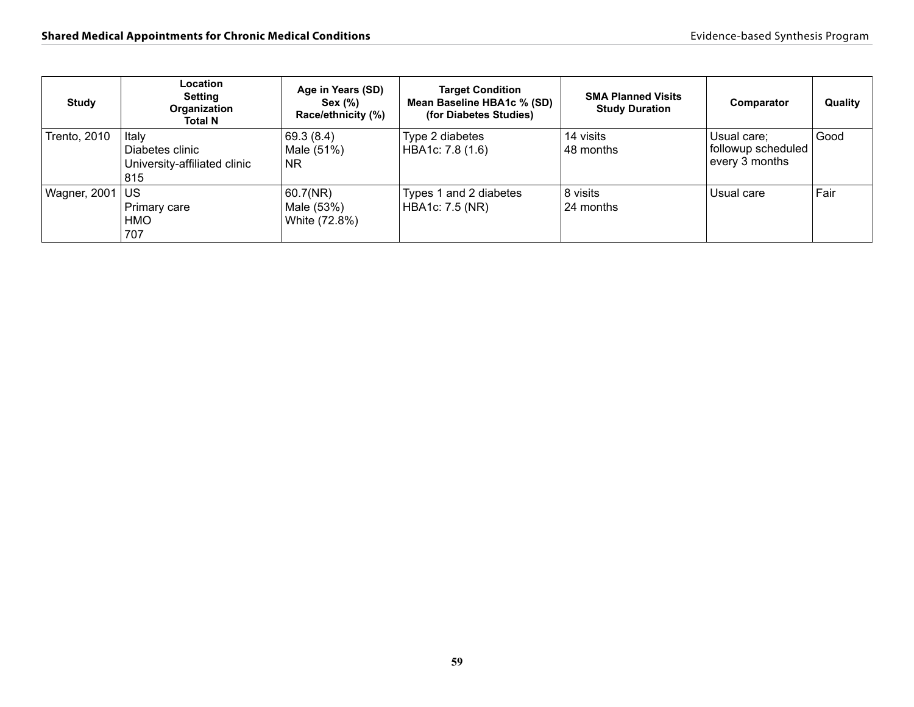| Study               | <b>Location</b><br><b>Setting</b><br>Organization<br>Total N    | Age in Years (SD)<br>Sex (%)<br>Race/ethnicity (%) | <b>Target Condition</b><br>Mean Baseline HBA1c % (SD)<br>(for Diabetes Studies) | <b>SMA Planned Visits</b><br><b>Study Duration</b> | Comparator                                          | Quality |
|---------------------|-----------------------------------------------------------------|----------------------------------------------------|---------------------------------------------------------------------------------|----------------------------------------------------|-----------------------------------------------------|---------|
| <b>Trento, 2010</b> | Italy<br>Diabetes clinic<br>University-affiliated clinic<br>815 | 69.3(8.4)<br>Male (51%)<br>N <sub>R</sub>          | Type 2 diabetes<br>HBA1c: 7.8 (1.6)                                             | 14 visits<br>48 months                             | Usual care;<br>followup scheduled<br>every 3 months | Good    |
| Wagner, 2001        | <b>US</b><br>Primary care<br><b>HMO</b><br>707                  | 60.7(NR)<br>Male (53%)<br>White (72.8%)            | Types 1 and 2 diabetes<br><b>HBA1c: 7.5 (NR)</b>                                | 8 visits<br>24 months                              | Usual care                                          | Fair    |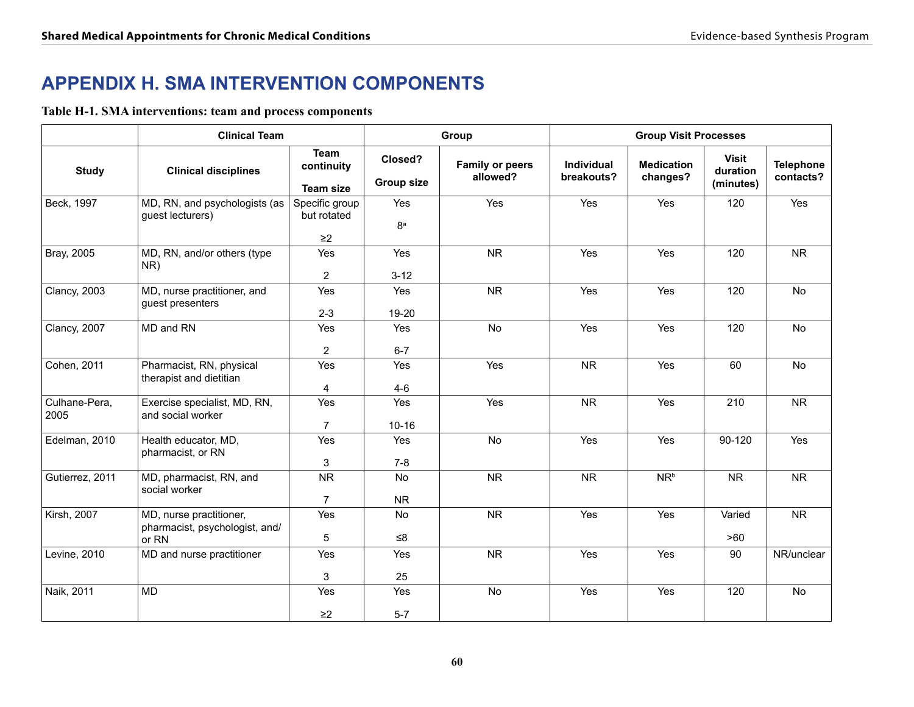# **APPENDIX H. SMA INTERVENTION COMPONENTS**

**Table H-1. SMA interventions: team and process components**

|                       | <b>Clinical Team</b>                                               |                                               |                              | Group                              | <b>Group Visit Processes</b> |                               |                                       |                               |
|-----------------------|--------------------------------------------------------------------|-----------------------------------------------|------------------------------|------------------------------------|------------------------------|-------------------------------|---------------------------------------|-------------------------------|
| <b>Study</b>          | <b>Clinical disciplines</b>                                        | <b>Team</b><br>continuity<br><b>Team size</b> | Closed?<br><b>Group size</b> | <b>Family or peers</b><br>allowed? | Individual<br>breakouts?     | <b>Medication</b><br>changes? | <b>Visit</b><br>duration<br>(minutes) | <b>Telephone</b><br>contacts? |
| Beck, 1997            | MD, RN, and psychologists (as<br>guest lecturers)                  | Specific group<br>but rotated<br>$\geq$ 2     | Yes<br>8 <sup>a</sup>        | Yes                                | Yes                          | Yes                           | 120                                   | Yes                           |
| Bray, 2005            | MD, RN, and/or others (type<br>NR)                                 | Yes<br>$\overline{2}$                         | Yes<br>$3 - 12$              | <b>NR</b>                          | Yes                          | Yes                           | 120                                   | ${\sf NR}$                    |
| <b>Clancy, 2003</b>   | MD, nurse practitioner, and<br>guest presenters                    | Yes<br>$2 - 3$                                | Yes<br>19-20                 | <b>NR</b>                          | Yes                          | Yes                           | 120                                   | No                            |
| <b>Clancy, 2007</b>   | MD and RN                                                          | Yes<br>2                                      | Yes<br>$6 - 7$               | <b>No</b>                          | Yes                          | Yes                           | 120                                   | <b>No</b>                     |
| Cohen, 2011           | Pharmacist, RN, physical<br>therapist and dietitian                | Yes<br>4                                      | Yes<br>$4-6$                 | Yes                                | ${\sf NR}$                   | Yes                           | 60                                    | No                            |
| Culhane-Pera,<br>2005 | Exercise specialist, MD, RN,<br>and social worker                  | Yes<br>$\overline{7}$                         | Yes<br>$10 - 16$             | Yes                                | <b>NR</b>                    | Yes                           | 210                                   | <b>NR</b>                     |
| Edelman, 2010         | Health educator, MD,<br>pharmacist, or RN                          | Yes<br>3                                      | Yes<br>$7 - 8$               | No                                 | Yes                          | Yes                           | 90-120                                | Yes                           |
| Gutierrez, 2011       | MD, pharmacist, RN, and<br>social worker                           | <b>NR</b><br>$\overline{7}$                   | No<br><b>NR</b>              | <b>NR</b>                          | <b>NR</b>                    | $NR^b$                        | <b>NR</b>                             | <b>NR</b>                     |
| <b>Kirsh, 2007</b>    | MD, nurse practitioner,<br>pharmacist, psychologist, and/<br>or RN | Yes<br>5                                      | No<br>$≤8$                   | <b>NR</b>                          | Yes                          | Yes                           | Varied<br>>60                         | <b>NR</b>                     |
| Levine, 2010          | MD and nurse practitioner                                          | Yes<br>3                                      | Yes<br>25                    | <b>NR</b>                          | Yes                          | Yes                           | 90                                    | NR/unclear                    |
| Naik, 2011            | <b>MD</b>                                                          | Yes<br>$\geq$ 2                               | Yes<br>$5-7$                 | No                                 | Yes                          | Yes                           | 120                                   | <b>No</b>                     |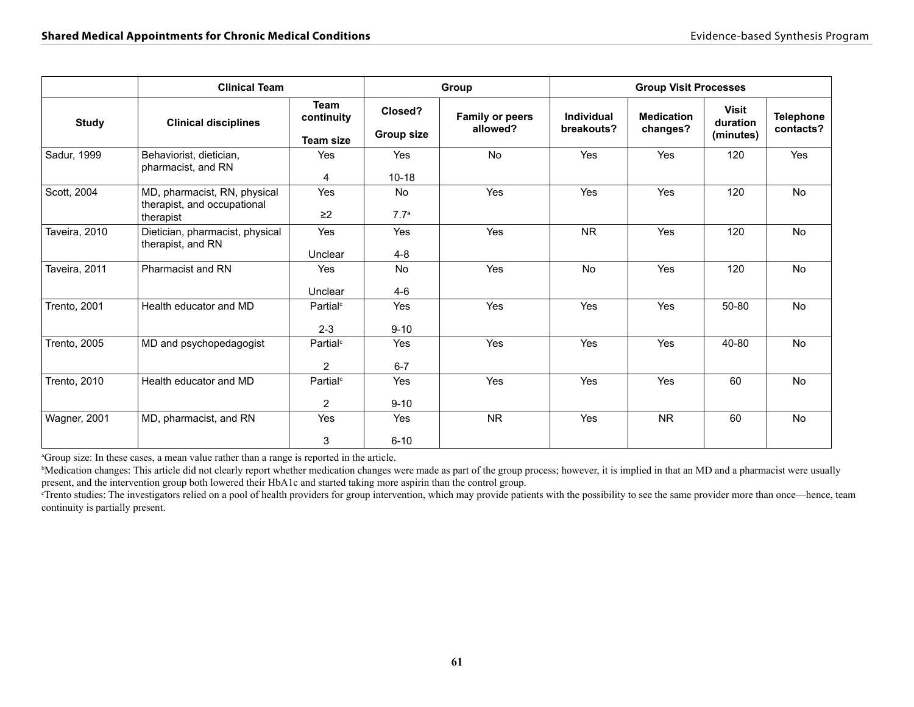|                     | <b>Clinical Team</b>                                                     | Group                                  |                               | <b>Group Visit Processes</b>       |                          |                               |                                       |                               |
|---------------------|--------------------------------------------------------------------------|----------------------------------------|-------------------------------|------------------------------------|--------------------------|-------------------------------|---------------------------------------|-------------------------------|
| <b>Study</b>        | <b>Clinical disciplines</b>                                              | Team<br>continuity<br><b>Team size</b> | Closed?<br><b>Group size</b>  | <b>Family or peers</b><br>allowed? | Individual<br>breakouts? | <b>Medication</b><br>changes? | <b>Visit</b><br>duration<br>(minutes) | <b>Telephone</b><br>contacts? |
| Sadur, 1999         | Behaviorist, dietician,<br>pharmacist, and RN                            | Yes<br>4                               | Yes<br>$10 - 18$              | No                                 | Yes                      | Yes                           | 120                                   | Yes                           |
| Scott, 2004         | MD, pharmacist, RN, physical<br>therapist, and occupational<br>therapist | Yes<br>$\geq$ 2                        | <b>No</b><br>7.7 <sup>a</sup> | Yes                                | Yes                      | Yes                           | 120                                   | No                            |
| Taveira, 2010       | Dietician, pharmacist, physical<br>therapist, and RN                     | Yes<br>Unclear                         | <b>Yes</b><br>$4 - 8$         | Yes                                | <b>NR</b>                | Yes                           | 120                                   | No                            |
| Taveira, 2011       | Pharmacist and RN                                                        | Yes<br>Unclear                         | No<br>$4-6$                   | Yes                                | No                       | Yes                           | 120                                   | No                            |
| Trento, 2001        | Health educator and MD                                                   | Partial <sup>c</sup><br>$2 - 3$        | <b>Yes</b><br>$9 - 10$        | Yes                                | Yes                      | Yes                           | 50-80                                 | No                            |
| <b>Trento, 2005</b> | MD and psychopedagogist                                                  | Partial <sup>c</sup><br>$\overline{2}$ | Yes<br>$6 - 7$                | <b>Yes</b>                         | Yes                      | Yes                           | 40-80                                 | <b>No</b>                     |
| Trento, 2010        | Health educator and MD                                                   | Partial <sup>c</sup><br>2              | Yes<br>$9 - 10$               | Yes                                | Yes                      | Yes                           | 60                                    | <b>No</b>                     |
| Wagner, 2001        | MD, pharmacist, and RN                                                   | Yes<br>3                               | <b>Yes</b><br>$6 - 10$        | <b>NR</b>                          | Yes                      | <b>NR</b>                     | 60                                    | No                            |

<sup>a</sup>Group size: In these cases, a mean value rather than a range is reported in the article.

<sup>b</sup>Medication changes: This article did not clearly report whether medication changes were made as part of the group process; however, it is implied in that an MD and a pharmacist were usually present, and the intervention group both lowered their HbA1c and started taking more aspirin than the control group.

<sup>c</sup>Trento studies: The investigators relied on a pool of health providers for group intervention, which may provide patients with the possibility to see the same provider more than once—hence, team continuity is partially present.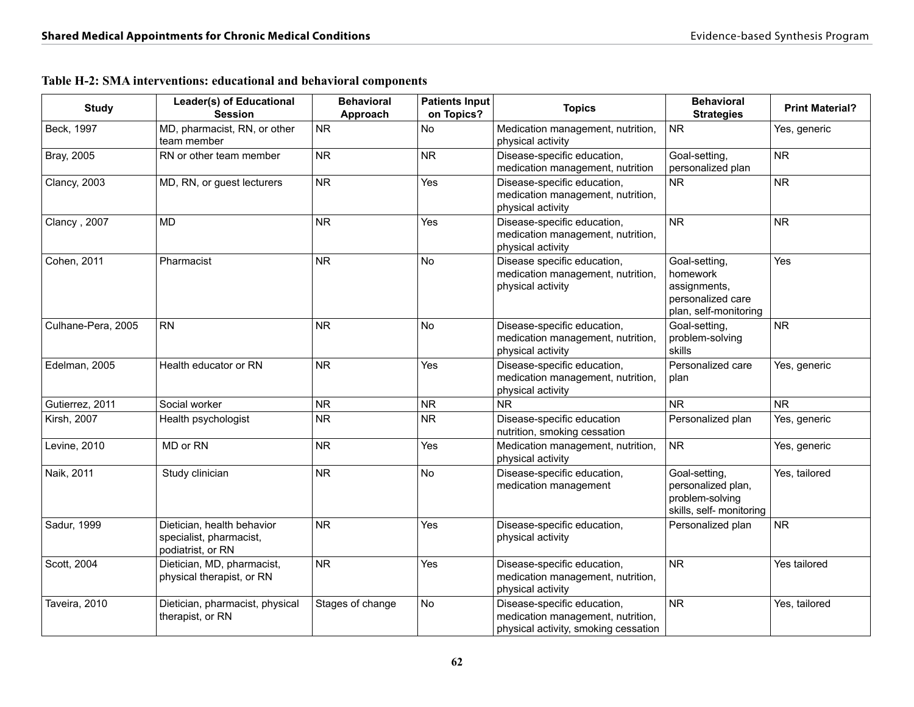| <b>Study</b>       | Leader(s) of Educational<br><b>Session</b>                                 | <b>Behavioral</b><br>Approach | <b>Patients Input</b><br>on Topics? | <b>Topics</b>                                                                                            | <b>Behavioral</b><br><b>Strategies</b>                                                  | <b>Print Material?</b> |
|--------------------|----------------------------------------------------------------------------|-------------------------------|-------------------------------------|----------------------------------------------------------------------------------------------------------|-----------------------------------------------------------------------------------------|------------------------|
| Beck, 1997         | MD, pharmacist, RN, or other<br>team member                                | <b>NR</b>                     | No                                  | Medication management, nutrition,<br>physical activity                                                   | <b>NR</b>                                                                               | Yes, generic           |
| Bray, 2005         | RN or other team member                                                    | <b>NR</b>                     | <b>NR</b>                           | Disease-specific education,<br>medication management, nutrition                                          | Goal-setting,<br>personalized plan                                                      | <b>NR</b>              |
| Clancy, 2003       | MD, RN, or guest lecturers                                                 | <b>NR</b>                     | Yes                                 | Disease-specific education,<br>medication management, nutrition,<br>physical activity                    | <b>NR</b>                                                                               | <b>NR</b>              |
| Clancy, 2007       | <b>MD</b>                                                                  | <b>NR</b>                     | Yes                                 | Disease-specific education,<br>medication management, nutrition,<br>physical activity                    | ${\sf NR}$                                                                              | <b>NR</b>              |
| Cohen, 2011        | Pharmacist                                                                 | <b>NR</b>                     | No                                  | Disease specific education,<br>medication management, nutrition,<br>physical activity                    | Goal-setting,<br>homework<br>assignments,<br>personalized care<br>plan, self-monitoring | Yes                    |
| Culhane-Pera, 2005 | <b>RN</b>                                                                  | <b>NR</b>                     | No                                  | Disease-specific education,<br>medication management, nutrition,<br>physical activity                    | Goal-setting,<br>problem-solving<br>skills                                              | <b>NR</b>              |
| Edelman, 2005      | Health educator or RN                                                      | <b>NR</b>                     | Yes                                 | Disease-specific education,<br>medication management, nutrition,<br>physical activity                    | Personalized care<br>plan                                                               | Yes, generic           |
| Gutierrez, 2011    | Social worker                                                              | <b>NR</b>                     | <b>NR</b>                           | <b>NR</b>                                                                                                | <b>NR</b>                                                                               | <b>NR</b>              |
| Kirsh, 2007        | Health psychologist                                                        | <b>NR</b>                     | <b>NR</b>                           | Disease-specific education<br>nutrition, smoking cessation                                               | Personalized plan                                                                       | Yes, generic           |
| Levine, 2010       | MD or RN                                                                   | <b>NR</b>                     | Yes                                 | Medication management, nutrition,<br>physical activity                                                   | <b>NR</b>                                                                               | Yes, generic           |
| Naik, 2011         | Study clinician                                                            | <b>NR</b>                     | <b>No</b>                           | Disease-specific education,<br>medication management                                                     | Goal-setting,<br>personalized plan,<br>problem-solving<br>skills, self- monitoring      | Yes, tailored          |
| Sadur, 1999        | Dietician, health behavior<br>specialist, pharmacist,<br>podiatrist, or RN | <b>NR</b>                     | Yes                                 | Disease-specific education,<br>physical activity                                                         | Personalized plan                                                                       | <b>NR</b>              |
| Scott, 2004        | Dietician, MD, pharmacist,<br>physical therapist, or RN                    | <b>NR</b>                     | Yes                                 | Disease-specific education,<br>medication management, nutrition,<br>physical activity                    | <b>NR</b>                                                                               | Yes tailored           |
| Taveira, 2010      | Dietician, pharmacist, physical<br>therapist, or RN                        | Stages of change              | <b>No</b>                           | Disease-specific education,<br>medication management, nutrition,<br>physical activity, smoking cessation | NR                                                                                      | Yes, tailored          |

#### **Table H-2: SMA interventions: educational and behavioral components**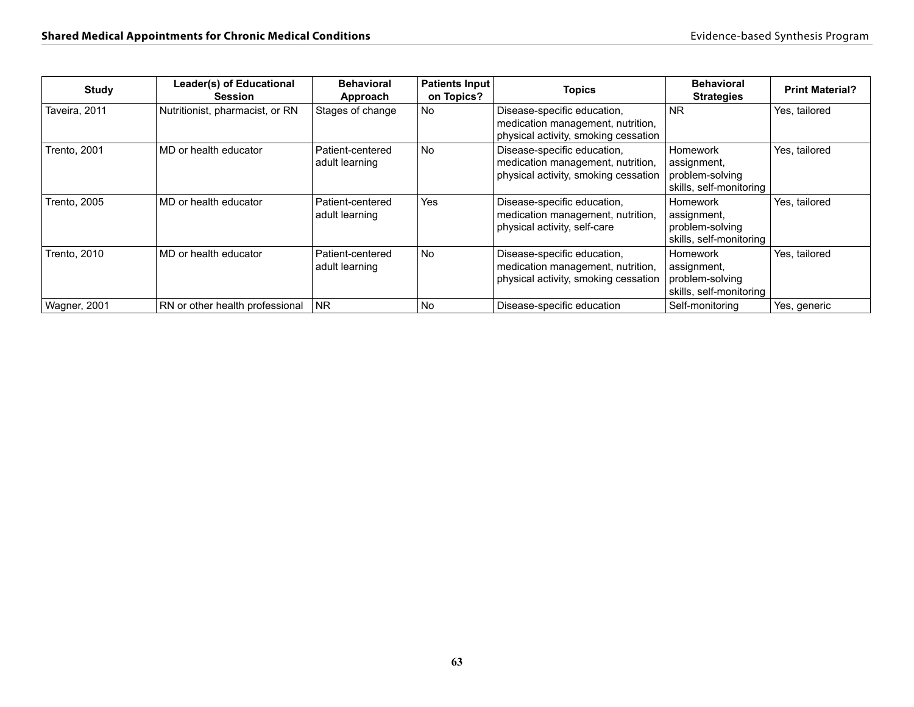| <b>Study</b>        | Leader(s) of Educational<br>Session | <b>Behavioral</b><br>Approach      | Patients Input<br>on Topics? | <b>Topics</b>                                                                                            | <b>Behavioral</b><br><b>Strategies</b>                                | <b>Print Material?</b> |
|---------------------|-------------------------------------|------------------------------------|------------------------------|----------------------------------------------------------------------------------------------------------|-----------------------------------------------------------------------|------------------------|
| Taveira, 2011       | Nutritionist, pharmacist, or RN     | Stages of change                   | No.                          | Disease-specific education,<br>medication management, nutrition,<br>physical activity, smoking cessation | <b>NR</b>                                                             | Yes, tailored          |
| Trento, 2001        | MD or health educator               | Patient-centered<br>adult learning | No                           | Disease-specific education,<br>medication management, nutrition,<br>physical activity, smoking cessation | Homework<br>assignment,<br>problem-solving<br>skills, self-monitoring | Yes, tailored          |
| <b>Trento, 2005</b> | MD or health educator               | Patient-centered<br>adult learning | Yes                          | Disease-specific education,<br>medication management, nutrition,<br>physical activity, self-care         | Homework<br>assignment,<br>problem-solving<br>skills, self-monitoring | Yes, tailored          |
| <b>Trento, 2010</b> | MD or health educator               | Patient-centered<br>adult learning | <b>No</b>                    | Disease-specific education,<br>medication management, nutrition,<br>physical activity, smoking cessation | Homework<br>assignment,<br>problem-solving<br>skills, self-monitoring | Yes, tailored          |
| <b>Wagner, 2001</b> | RN or other health professional     | <b>NR</b>                          | No                           | Disease-specific education                                                                               | Self-monitoring                                                       | Yes, generic           |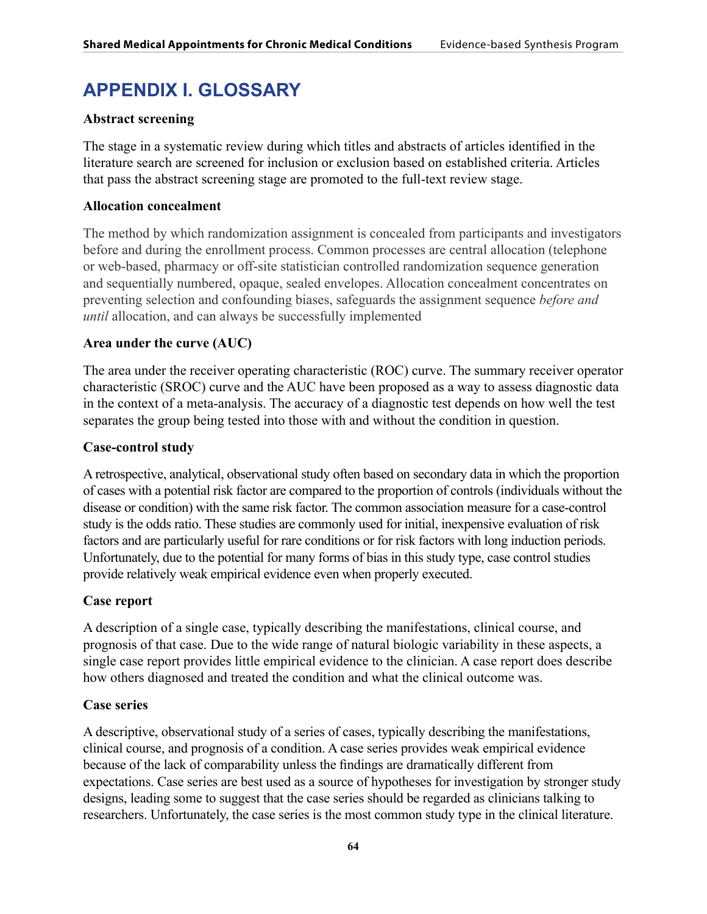# **APPENDIX I. GLOSSARY**

## **Abstract screening**

The stage in a systematic review during which titles and abstracts of articles identified in the literature search are screened for inclusion or exclusion based on established criteria. Articles that pass the abstract screening stage are promoted to the full-text review stage.

## **Allocation concealment**

The method by which randomization assignment is concealed from participants and investigators before and during the enrollment process. Common processes are central allocation (telephone or web-based, pharmacy or off-site statistician controlled randomization sequence generation and sequentially numbered, opaque, sealed envelopes. Allocation concealment concentrates on preventing selection and confounding biases, safeguards the assignment sequence *before and until* allocation, and can always be successfully implemented

# **Area under the curve (AUC)**

The area under the receiver operating characteristic (ROC) curve. The summary receiver operator characteristic (SROC) curve and the AUC have been proposed as a way to assess diagnostic data in the context of a meta-analysis. The accuracy of a diagnostic test depends on how well the test separates the group being tested into those with and without the condition in question.

## **Case-control study**

A retrospective, analytical, observational study often based on secondary data in which the proportion of cases with a potential risk factor are compared to the proportion of controls (individuals without the disease or condition) with the same risk factor. The common association measure for a case-control study is the odds ratio. These studies are commonly used for initial, inexpensive evaluation of risk factors and are particularly useful for rare conditions or for risk factors with long induction periods. Unfortunately, due to the potential for many forms of bias in this study type, case control studies provide relatively weak empirical evidence even when properly executed.

## **Case report**

A description of a single case, typically describing the manifestations, clinical course, and prognosis of that case. Due to the wide range of natural biologic variability in these aspects, a single case report provides little empirical evidence to the clinician. A case report does describe how others diagnosed and treated the condition and what the clinical outcome was.

## **Case series**

A descriptive, observational study of a series of cases, typically describing the manifestations, clinical course, and prognosis of a condition. A case series provides weak empirical evidence because of the lack of comparability unless the findings are dramatically different from expectations. Case series are best used as a source of hypotheses for investigation by stronger study designs, leading some to suggest that the case series should be regarded as clinicians talking to researchers. Unfortunately, the case series is the most common study type in the clinical literature.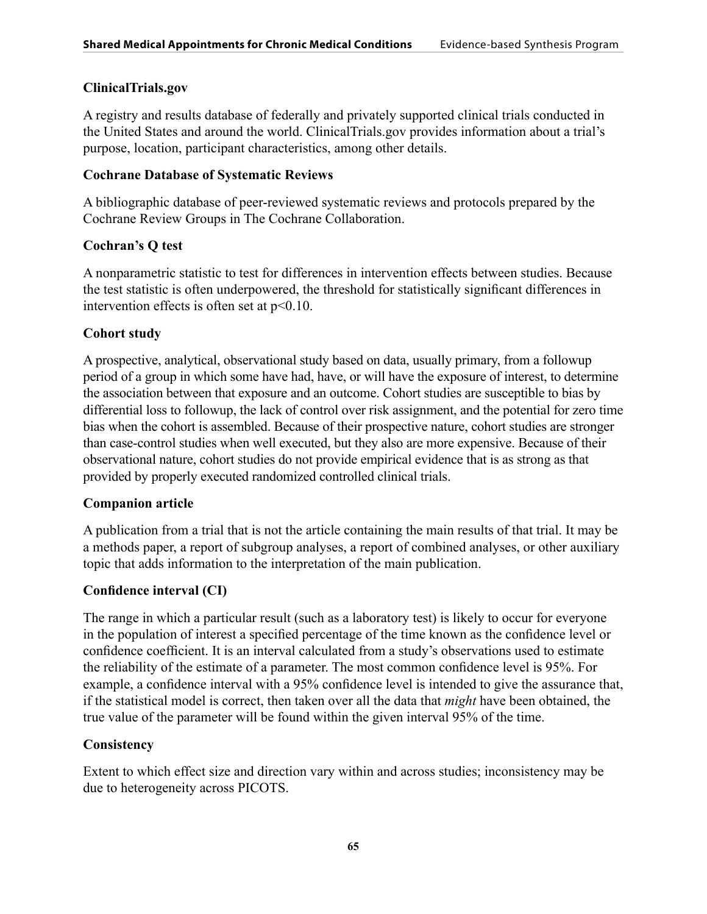## **ClinicalTrials.gov**

A registry and results database of federally and privately supported clinical trials conducted in the United States and around the world. ClinicalTrials.gov provides information about a trial's purpose, location, participant characteristics, among other details.

## **Cochrane Database of Systematic Reviews**

A bibliographic database of peer-reviewed systematic reviews and protocols prepared by the Cochrane Review Groups in The Cochrane Collaboration.

# **Cochran's Q test**

A nonparametric statistic to test for differences in intervention effects between studies. Because the test statistic is often underpowered, the threshold for statistically significant differences in intervention effects is often set at p<0.10.

# **Cohort study**

A prospective, analytical, observational study based on data, usually primary, from a followup period of a group in which some have had, have, or will have the exposure of interest, to determine the association between that exposure and an outcome. Cohort studies are susceptible to bias by differential loss to followup, the lack of control over risk assignment, and the potential for zero time bias when the cohort is assembled. Because of their prospective nature, cohort studies are stronger than case-control studies when well executed, but they also are more expensive. Because of their observational nature, cohort studies do not provide empirical evidence that is as strong as that provided by properly executed randomized controlled clinical trials.

# **Companion article**

A publication from a trial that is not the article containing the main results of that trial. It may be a methods paper, a report of subgroup analyses, a report of combined analyses, or other auxiliary topic that adds information to the interpretation of the main publication.

# **Confidence interval (CI)**

The range in which a particular result (such as a laboratory test) is likely to occur for everyone in the population of interest a specified percentage of the time known as the confidence level or confidence coefficient. It is an interval calculated from a study's observations used to estimate the reliability of the estimate of a parameter. The most common confidence level is 95%. For example, a confidence interval with a 95% confidence level is intended to give the assurance that, if the statistical model is correct, then taken over all the data that *might* have been obtained, the true value of the parameter will be found within the given interval 95% of the time.

# **Consistency**

Extent to which effect size and direction vary within and across studies; inconsistency may be due to heterogeneity across PICOTS.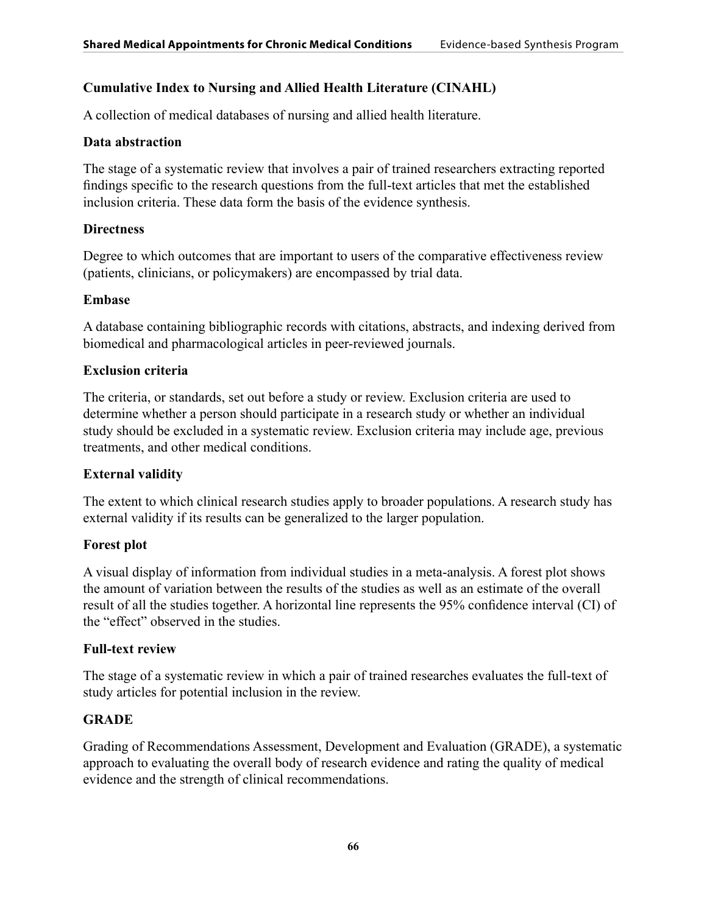## **Cumulative Index to Nursing and Allied Health Literature (CINAHL)**

A collection of medical databases of nursing and allied health literature.

#### **Data abstraction**

The stage of a systematic review that involves a pair of trained researchers extracting reported findings specific to the research questions from the full-text articles that met the established inclusion criteria. These data form the basis of the evidence synthesis.

#### **Directness**

Degree to which outcomes that are important to users of the comparative effectiveness review (patients, clinicians, or policymakers) are encompassed by trial data.

#### **Embase**

A database containing bibliographic records with citations, abstracts, and indexing derived from biomedical and pharmacological articles in peer-reviewed journals.

## **Exclusion criteria**

The criteria, or standards, set out before a study or review. Exclusion criteria are used to determine whether a person should participate in a research study or whether an individual study should be excluded in a systematic review. Exclusion criteria may include age, previous treatments, and other medical conditions.

## **External validity**

The extent to which clinical research studies apply to broader populations. A research study has external validity if its results can be generalized to the larger population.

## **Forest plot**

A visual display of information from individual studies in a meta-analysis. A forest plot shows the amount of variation between the results of the studies as well as an estimate of the overall result of all the studies together. A horizontal line represents the 95% confidence interval (CI) of the "effect" observed in the studies.

## **Full-text review**

The stage of a systematic review in which a pair of trained researches evaluates the full-text of study articles for potential inclusion in the review.

## **GRADE**

Grading of Recommendations Assessment, Development and Evaluation (GRADE), a systematic approach to evaluating the overall body of research evidence and rating the quality of medical evidence and the strength of clinical recommendations.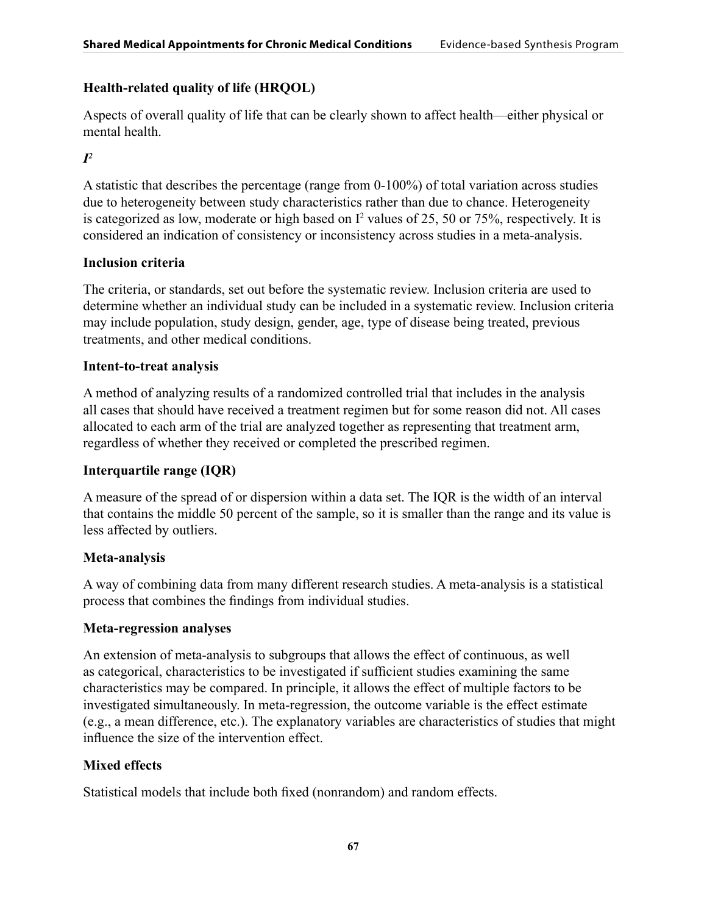# **Health-related quality of life (HRQOL)**

Aspects of overall quality of life that can be clearly shown to affect health—either physical or mental health.

# *I2*

A statistic that describes the percentage (range from 0-100%) of total variation across studies due to heterogeneity between study characteristics rather than due to chance. Heterogeneity is categorized as low, moderate or high based on  $I^2$  values of 25, 50 or 75%, respectively. It is considered an indication of consistency or inconsistency across studies in a meta-analysis.

# **Inclusion criteria**

The criteria, or standards, set out before the systematic review. Inclusion criteria are used to determine whether an individual study can be included in a systematic review. Inclusion criteria may include population, study design, gender, age, type of disease being treated, previous treatments, and other medical conditions.

# **Intent-to-treat analysis**

A method of analyzing results of a randomized controlled trial that includes in the analysis all cases that should have received a treatment regimen but for some reason did not. All cases allocated to each arm of the trial are analyzed together as representing that treatment arm, regardless of whether they received or completed the prescribed regimen.

# **Interquartile range (IQR)**

A measure of the spread of or dispersion within a data set. The IQR is the width of an interval that contains the middle 50 percent of the sample, so it is smaller than the range and its value is less affected by outliers.

# **Meta-analysis**

A way of combining data from many different research studies. A meta-analysis is a statistical process that combines the findings from individual studies.

# **Meta-regression analyses**

An extension of meta-analysis to subgroups that allows the effect of continuous, as well as categorical, characteristics to be investigated if sufficient studies examining the same characteristics may be compared. In principle, it allows the effect of multiple factors to be investigated simultaneously. In meta-regression, the outcome variable is the effect estimate (e.g., a mean difference, etc.). The explanatory variables are characteristics of studies that might influence the size of the intervention effect.

# **Mixed effects**

Statistical models that include both fixed (nonrandom) and random effects.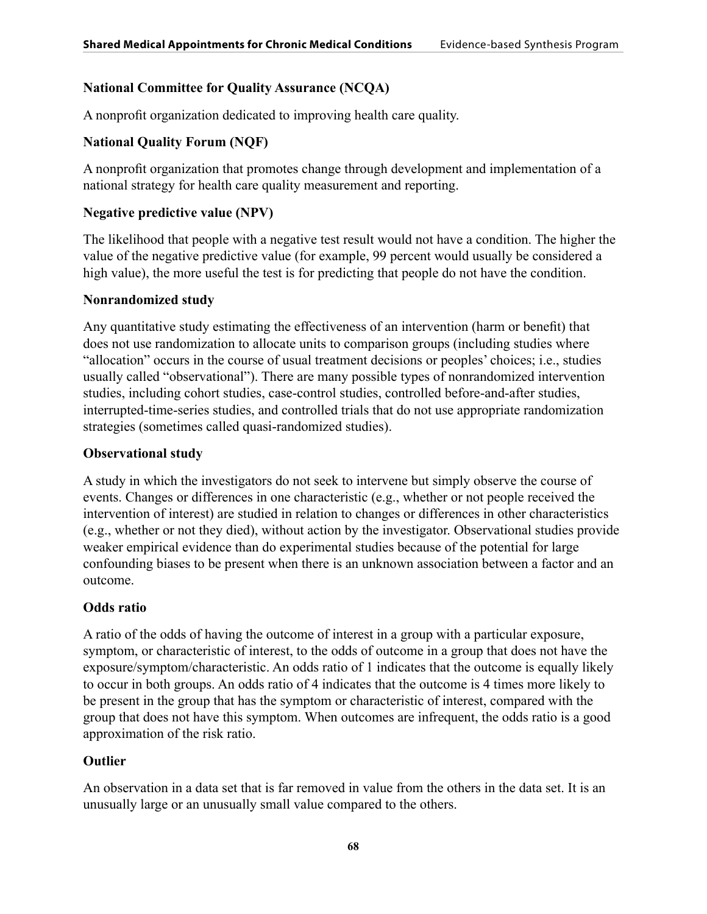# **National Committee for Quality Assurance (NCQA)**

A nonprofit organization dedicated to improving health care quality.

# **National Quality Forum (NQF)**

A nonprofit organization that promotes change through development and implementation of a national strategy for health care quality measurement and reporting.

# **Negative predictive value (NPV)**

The likelihood that people with a negative test result would not have a condition. The higher the value of the negative predictive value (for example, 99 percent would usually be considered a high value), the more useful the test is for predicting that people do not have the condition.

# **Nonrandomized study**

Any quantitative study estimating the effectiveness of an intervention (harm or benefit) that does not use randomization to allocate units to comparison groups (including studies where "allocation" occurs in the course of usual treatment decisions or peoples' choices; i.e., studies usually called "observational"). There are many possible types of nonrandomized intervention studies, including cohort studies, case-control studies, controlled before-and-after studies, interrupted-time-series studies, and controlled trials that do not use appropriate randomization strategies (sometimes called quasi-randomized studies).

# **Observational study**

A study in which the investigators do not seek to intervene but simply observe the course of events. Changes or differences in one characteristic (e.g., whether or not people received the intervention of interest) are studied in relation to changes or differences in other characteristics (e.g., whether or not they died), without action by the investigator. Observational studies provide weaker empirical evidence than do experimental studies because of the potential for large confounding biases to be present when there is an unknown association between a factor and an outcome.

# **Odds ratio**

A ratio of the odds of having the outcome of interest in a group with a particular exposure, symptom, or characteristic of interest, to the odds of outcome in a group that does not have the exposure/symptom/characteristic. An odds ratio of 1 indicates that the outcome is equally likely to occur in both groups. An odds ratio of 4 indicates that the outcome is 4 times more likely to be present in the group that has the symptom or characteristic of interest, compared with the group that does not have this symptom. When outcomes are infrequent, the odds ratio is a good approximation of the risk ratio.

# **Outlier**

An observation in a data set that is far removed in value from the others in the data set. It is an unusually large or an unusually small value compared to the others.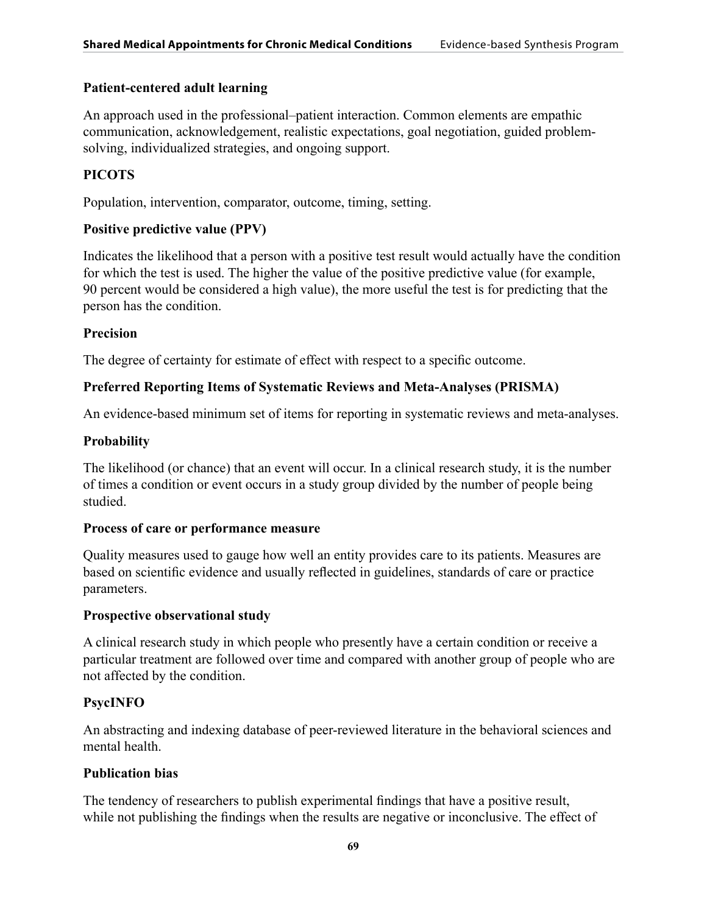## **Patient-centered adult learning**

An approach used in the professional–patient interaction. Common elements are empathic communication, acknowledgement, realistic expectations, goal negotiation, guided problemsolving, individualized strategies, and ongoing support.

## **PICOTS**

Population, intervention, comparator, outcome, timing, setting.

## **Positive predictive value (PPV)**

Indicates the likelihood that a person with a positive test result would actually have the condition for which the test is used. The higher the value of the positive predictive value (for example, 90 percent would be considered a high value), the more useful the test is for predicting that the person has the condition.

## **Precision**

The degree of certainty for estimate of effect with respect to a specific outcome.

## **Preferred Reporting Items of Systematic Reviews and Meta-Analyses (PRISMA)**

An evidence-based minimum set of items for reporting in systematic reviews and meta-analyses.

#### **Probability**

The likelihood (or chance) that an event will occur. In a clinical research study, it is the number of times a condition or event occurs in a study group divided by the number of people being studied.

#### **Process of care or performance measure**

Quality measures used to gauge how well an entity provides care to its patients. Measures are based on scientific evidence and usually reflected in guidelines, standards of care or practice parameters.

#### **Prospective observational study**

A clinical research study in which people who presently have a certain condition or receive a particular treatment are followed over time and compared with another group of people who are not affected by the condition.

## **PsycINFO**

An abstracting and indexing database of peer-reviewed literature in the behavioral sciences and mental health.

## **Publication bias**

The tendency of researchers to publish experimental findings that have a positive result, while not publishing the findings when the results are negative or inconclusive. The effect of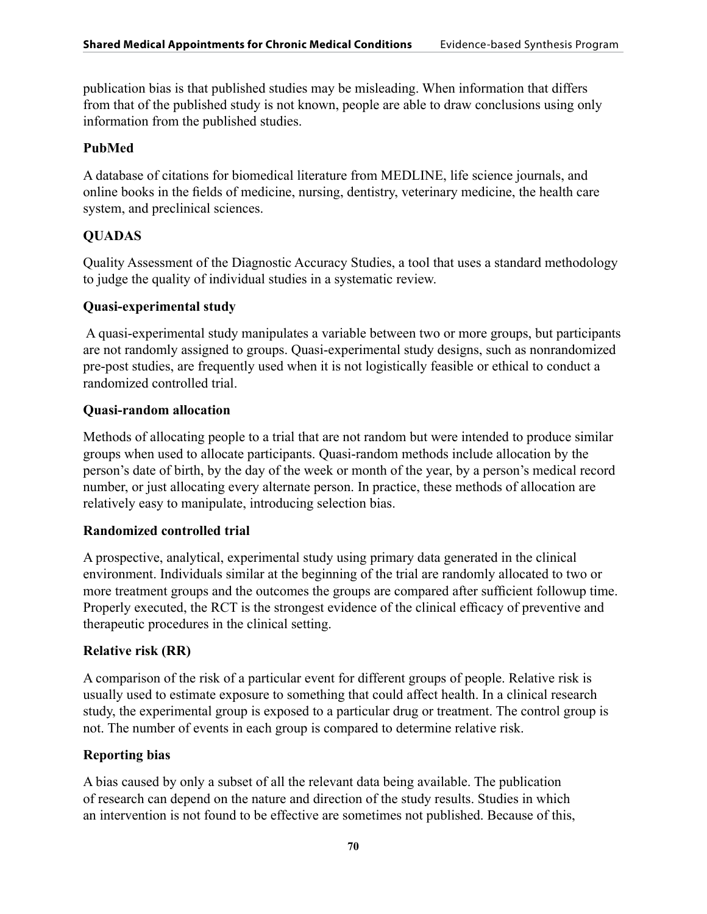publication bias is that published studies may be misleading. When information that differs from that of the published study is not known, people are able to draw conclusions using only information from the published studies.

# **PubMed**

A database of citations for biomedical literature from MEDLINE, life science journals, and online books in the fields of medicine, nursing, dentistry, veterinary medicine, the health care system, and preclinical sciences.

# **QUADAS**

Quality Assessment of the Diagnostic Accuracy Studies, a tool that uses a standard methodology to judge the quality of individual studies in a systematic review.

# **Quasi-experimental study**

 A quasi-experimental study manipulates a variable between two or more groups, but participants are not randomly assigned to groups. Quasi-experimental study designs, such as nonrandomized pre-post studies, are frequently used when it is not logistically feasible or ethical to conduct a randomized controlled trial.

# **Quasi-random allocation**

Methods of allocating people to a trial that are not random but were intended to produce similar groups when used to allocate participants. Quasi-random methods include allocation by the person's date of birth, by the day of the week or month of the year, by a person's medical record number, or just allocating every alternate person. In practice, these methods of allocation are relatively easy to manipulate, introducing selection bias.

# **Randomized controlled trial**

A prospective, analytical, experimental study using primary data generated in the clinical environment. Individuals similar at the beginning of the trial are randomly allocated to two or more treatment groups and the outcomes the groups are compared after sufficient followup time. Properly executed, the RCT is the strongest evidence of the clinical efficacy of preventive and therapeutic procedures in the clinical setting.

# **Relative risk (RR)**

A comparison of the risk of a particular event for different groups of people. Relative risk is usually used to estimate exposure to something that could affect health. In a clinical research study, the experimental group is exposed to a particular drug or treatment. The control group is not. The number of events in each group is compared to determine relative risk.

# **Reporting bias**

A bias caused by only a subset of all the relevant data being available. The publication of research can depend on the nature and direction of the study results. Studies in which an intervention is not found to be effective are sometimes not published. Because of this,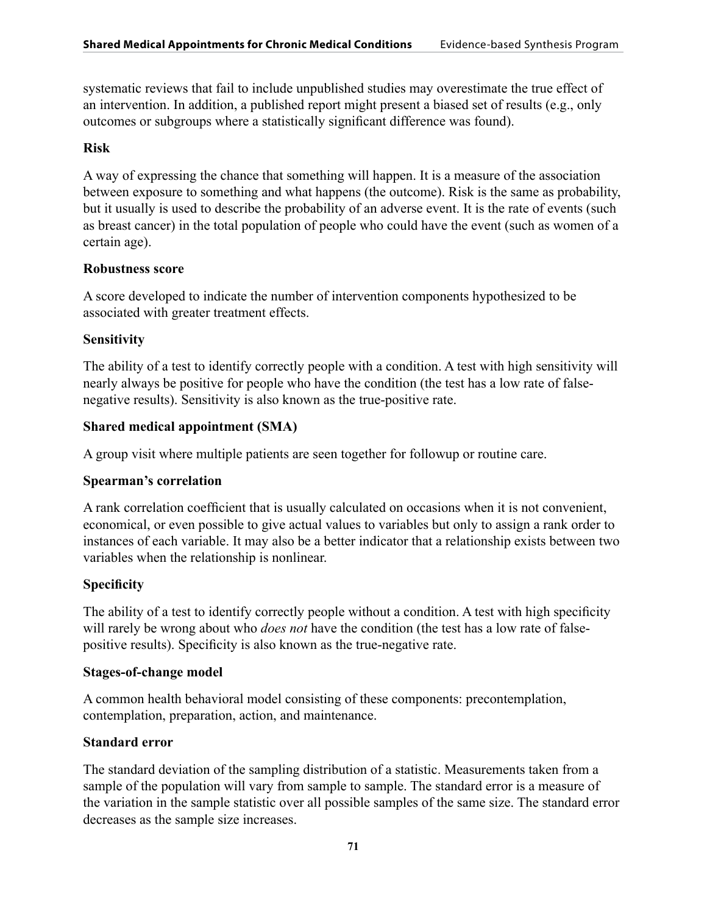systematic reviews that fail to include unpublished studies may overestimate the true effect of an intervention. In addition, a published report might present a biased set of results (e.g., only outcomes or subgroups where a statistically significant difference was found).

## **Risk**

A way of expressing the chance that something will happen. It is a measure of the association between exposure to something and what happens (the outcome). Risk is the same as probability, but it usually is used to describe the probability of an adverse event. It is the rate of events (such as breast cancer) in the total population of people who could have the event (such as women of a certain age).

## **Robustness score**

A score developed to indicate the number of intervention components hypothesized to be associated with greater treatment effects.

# **Sensitivity**

The ability of a test to identify correctly people with a condition. A test with high sensitivity will nearly always be positive for people who have the condition (the test has a low rate of falsenegative results). Sensitivity is also known as the true-positive rate.

## **Shared medical appointment (SMA)**

A group visit where multiple patients are seen together for followup or routine care.

## **Spearman's correlation**

A rank correlation coefficient that is usually calculated on occasions when it is not convenient, economical, or even possible to give actual values to variables but only to assign a rank order to instances of each variable. It may also be a better indicator that a relationship exists between two variables when the relationship is nonlinear.

# **Specificity**

The ability of a test to identify correctly people without a condition. A test with high specificity will rarely be wrong about who *does not* have the condition (the test has a low rate of falsepositive results). Specificity is also known as the true-negative rate.

## **Stages-of-change model**

A common health behavioral model consisting of these components: precontemplation, contemplation, preparation, action, and maintenance.

# **Standard error**

The standard deviation of the sampling distribution of a statistic. Measurements taken from a sample of the population will vary from sample to sample. The standard error is a measure of the variation in the sample statistic over all possible samples of the same size. The standard error decreases as the sample size increases.